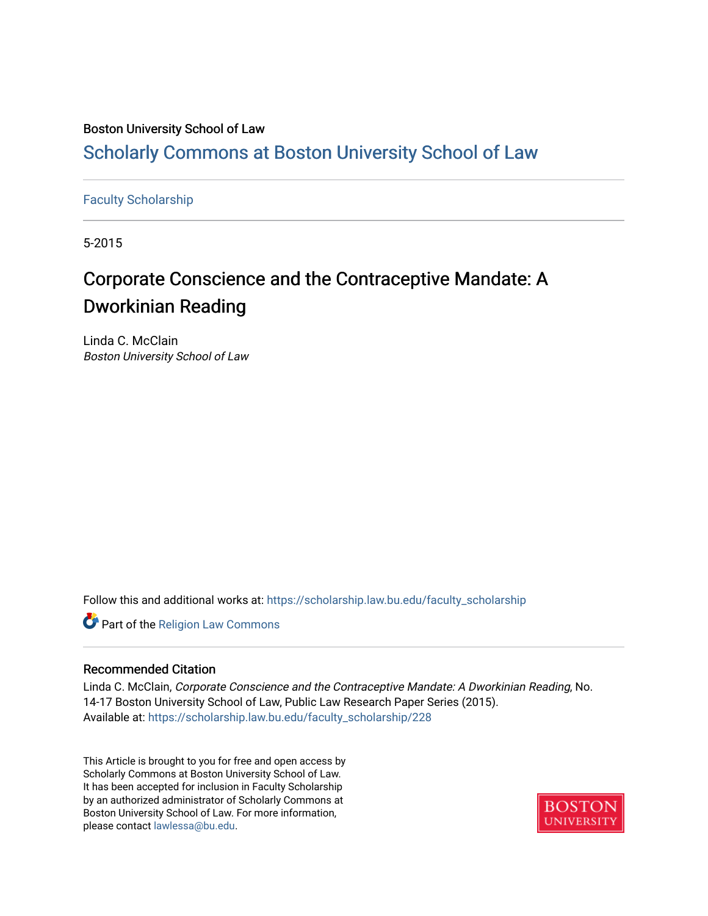#### Boston University School of Law

## [Scholarly Commons at Boston University School of Law](https://scholarship.law.bu.edu/)

#### [Faculty Scholarship](https://scholarship.law.bu.edu/faculty_scholarship)

5-2015

# Corporate Conscience and the Contraceptive Mandate: A Dworkinian Reading

Linda C. McClain Boston University School of Law

Follow this and additional works at: [https://scholarship.law.bu.edu/faculty\\_scholarship](https://scholarship.law.bu.edu/faculty_scholarship?utm_source=scholarship.law.bu.edu%2Ffaculty_scholarship%2F228&utm_medium=PDF&utm_campaign=PDFCoverPages)

**Part of the [Religion Law Commons](http://network.bepress.com/hgg/discipline/872?utm_source=scholarship.law.bu.edu%2Ffaculty_scholarship%2F228&utm_medium=PDF&utm_campaign=PDFCoverPages)** 

#### Recommended Citation

Linda C. McClain, Corporate Conscience and the Contraceptive Mandate: A Dworkinian Reading, No. 14-17 Boston University School of Law, Public Law Research Paper Series (2015). Available at: [https://scholarship.law.bu.edu/faculty\\_scholarship/228](https://scholarship.law.bu.edu/faculty_scholarship/228?utm_source=scholarship.law.bu.edu%2Ffaculty_scholarship%2F228&utm_medium=PDF&utm_campaign=PDFCoverPages) 

This Article is brought to you for free and open access by Scholarly Commons at Boston University School of Law. It has been accepted for inclusion in Faculty Scholarship by an authorized administrator of Scholarly Commons at Boston University School of Law. For more information, please contact [lawlessa@bu.edu](mailto:lawlessa@bu.edu).

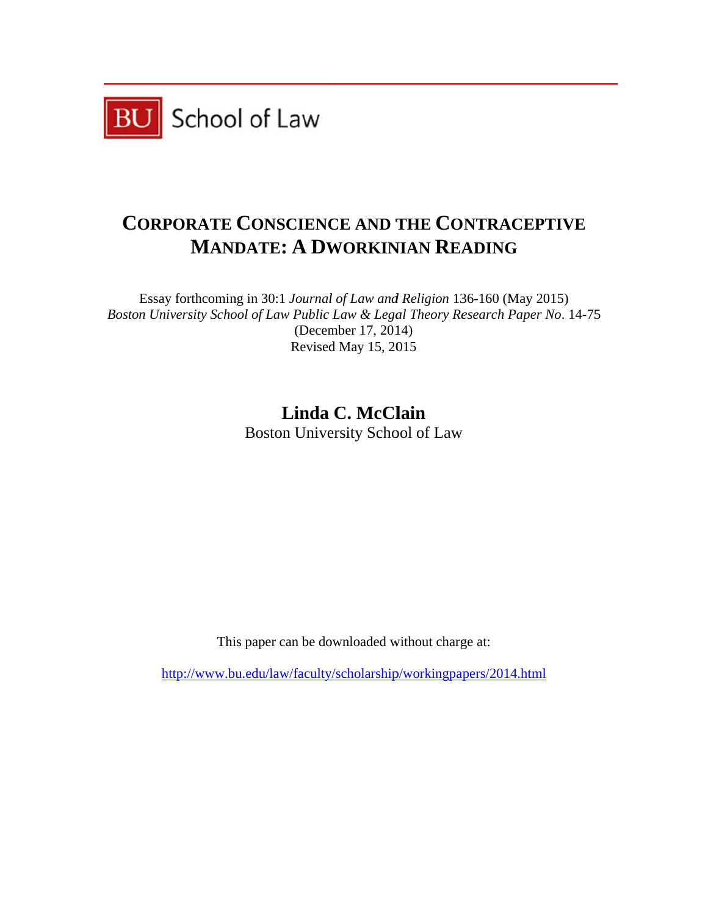

# **CORPORATE CONSCIENCE AND THE CONTRACEPTIVE MANDATE: A DWORKINIAN READING**

*Boston University School of Law Public Law & Legal Theory Research Paper No.* 14-75 Essay forthcoming in 30:1 *Journal of Law and Religion* 136-160 (May 2015) (December 17, 2014) Revised May 15, 2015

## Boston University School of Law **Linda C. McCl lain**

This paper can be downloaded without charg w<br>arge at:

http://www.bu.edu/law/faculty/scholarship/workingpapers/2014.html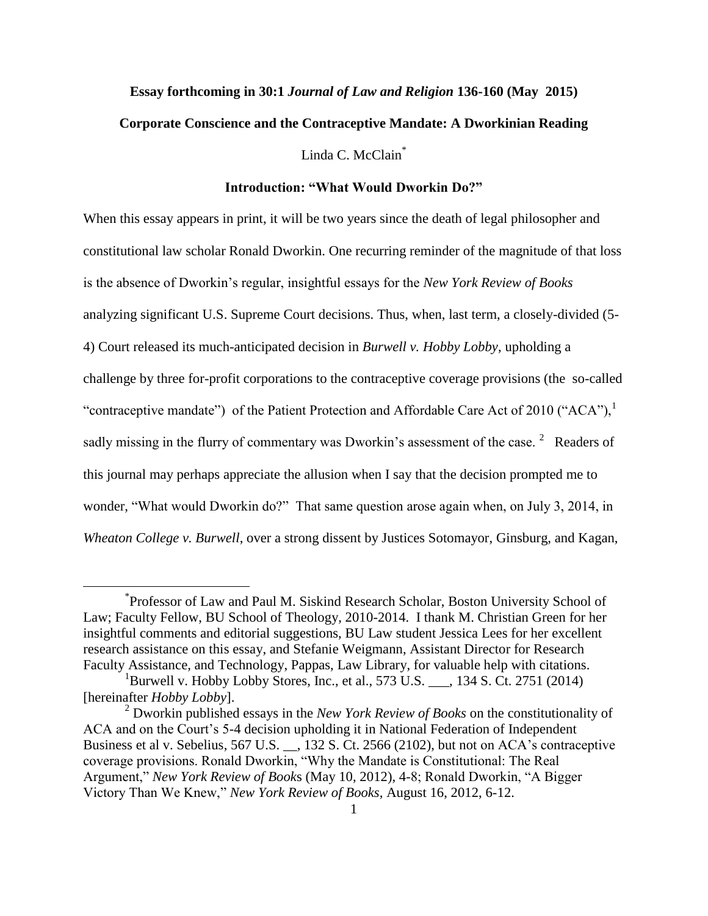# **Essay forthcoming in 30:1** *Journal of Law and Religion* **136-160 (May 2015) Corporate Conscience and the Contraceptive Mandate: A Dworkinian Reading**

Linda C. McClain<sup>\*</sup>

#### **Introduction: "What Would Dworkin Do?"**

When this essay appears in print, it will be two years since the death of legal philosopher and constitutional law scholar Ronald Dworkin. One recurring reminder of the magnitude of that loss is the absence of Dworkin's regular, insightful essays for the *New York Review of Books*  analyzing significant U.S. Supreme Court decisions. Thus, when, last term, a closely-divided (5- 4) Court released its much-anticipated decision in *Burwell v. Hobby Lobby*, upholding a challenge by three for-profit corporations to the contraceptive coverage provisions (the so-called "contraceptive mandate") of the Patient Protection and Affordable Care Act of 2010 ("ACA"), sadly missing in the flurry of commentary was Dworkin's assessment of the case.  $2$  Readers of this journal may perhaps appreciate the allusion when I say that the decision prompted me to wonder, "What would Dworkin do?" That same question arose again when, on July 3, 2014, in *Wheaton College v. Burwell*, over a strong dissent by Justices Sotomayor, Ginsburg, and Kagan,

<sup>\*</sup> Professor of Law and Paul M. Siskind Research Scholar, Boston University School of Law; Faculty Fellow, BU School of Theology, 2010-2014. I thank M. Christian Green for her insightful comments and editorial suggestions, BU Law student Jessica Lees for her excellent research assistance on this essay, and Stefanie Weigmann, Assistant Director for Research Faculty Assistance, and Technology, Pappas, Law Library, for valuable help with citations.

<sup>&</sup>lt;sup>1</sup>Burwell v. Hobby Lobby Stores, Inc., et al., 573 U.S. \_\_\_, 134 S. Ct. 2751 (2014) [hereinafter *Hobby Lobby*].

<sup>2</sup> Dworkin published essays in the *New York Review of Books* on the constitutionality of ACA and on the Court's 5-4 decision upholding it in National Federation of Independent Business et al v. Sebelius, 567 U.S. . 132 S. Ct. 2566 (2102), but not on ACA's contraceptive coverage provisions. Ronald Dworkin, "Why the Mandate is Constitutional: The Real Argument," *New York Review of Book*s (May 10, 2012), 4-8; Ronald Dworkin, "A Bigger Victory Than We Knew," *New York Review of Books,* August 16, 2012, 6-12.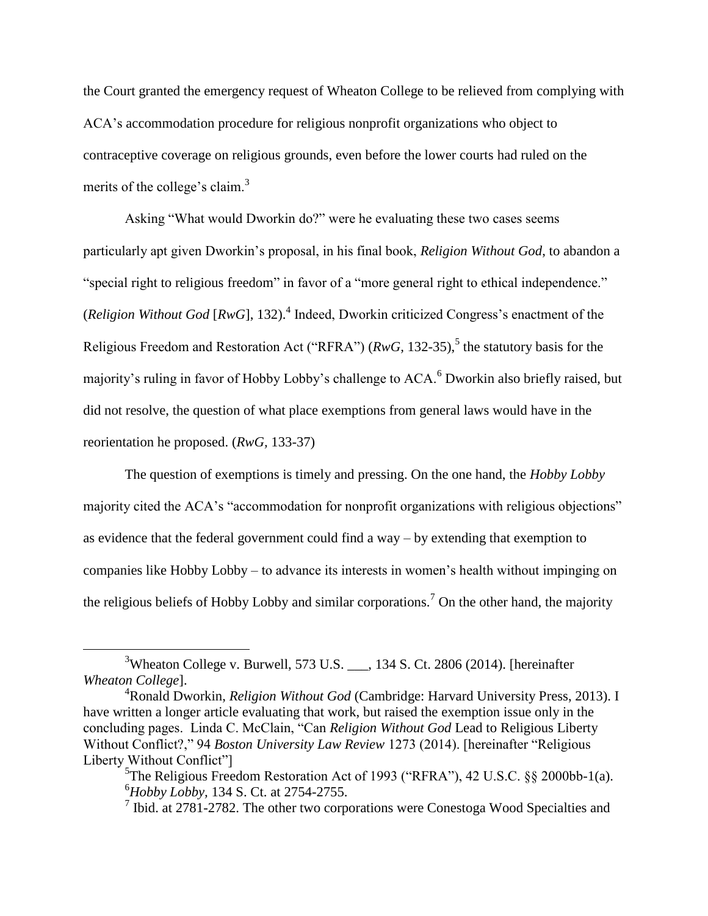the Court granted the emergency request of Wheaton College to be relieved from complying with ACA's accommodation procedure for religious nonprofit organizations who object to contraceptive coverage on religious grounds, even before the lower courts had ruled on the merits of the college's claim.<sup>3</sup>

Asking "What would Dworkin do?" were he evaluating these two cases seems particularly apt given Dworkin's proposal, in his final book, *Religion Without God*, to abandon a "special right to religious freedom" in favor of a "more general right to ethical independence." (*Religion Without God* [ $RwG$ ], 132).<sup>4</sup> Indeed, Dworkin criticized Congress's enactment of the Religious Freedom and Restoration Act ("RFRA")  $(RwG, 132-35)$ ,<sup>5</sup> the statutory basis for the majority's ruling in favor of Hobby Lobby's challenge to ACA.<sup>6</sup> Dworkin also briefly raised, but did not resolve, the question of what place exemptions from general laws would have in the reorientation he proposed. (*RwG,* 133-37)

The question of exemptions is timely and pressing. On the one hand, the *Hobby Lobby* majority cited the ACA's "accommodation for nonprofit organizations with religious objections" as evidence that the federal government could find a way – by extending that exemption to companies like Hobby Lobby – to advance its interests in women's health without impinging on the religious beliefs of Hobby Lobby and similar corporations.<sup>7</sup> On the other hand, the majority

<sup>&</sup>lt;sup>3</sup>Wheaton College v. Burwell, 573 U.S. \_\_\_, 134 S. Ct. 2806 (2014). [hereinafter *Wheaton College*].

<sup>4</sup>Ronald Dworkin, *Religion Without God* (Cambridge: Harvard University Press, 2013). I have written a longer article evaluating that work, but raised the exemption issue only in the concluding pages. Linda C. McClain, "Can *Religion Without God* Lead to Religious Liberty Without Conflict?," 94 *Boston University Law Review* 1273 (2014). [hereinafter "Religious Liberty Without Conflict"]

<sup>&</sup>lt;sup>5</sup>The Religious Freedom Restoration Act of 1993 ("RFRA"), 42 U.S.C. §§ 2000bb-1(a). <sup>6</sup>*Hobby Lobby,* 134 S. Ct. at 2754-2755.

<sup>&</sup>lt;sup>7</sup> Ibid. at 2781-2782. The other two corporations were Conestoga Wood Specialties and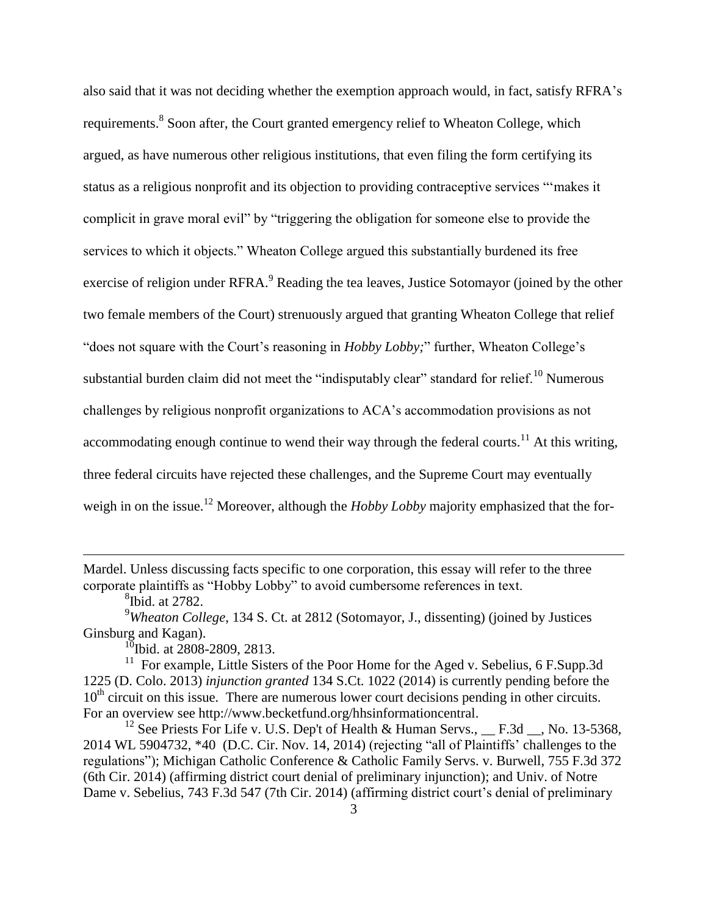also said that it was not deciding whether the exemption approach would, in fact, satisfy RFRA's requirements. <sup>8</sup> Soon after, the Court granted emergency relief to Wheaton College, which argued, as have numerous other religious institutions, that even filing the form certifying its status as a religious nonprofit and its objection to providing contraceptive services "'makes it complicit in grave moral evil" by "triggering the obligation for someone else to provide the services to which it objects." Wheaton College argued this substantially burdened its free exercise of religion under RFRA.<sup>9</sup> Reading the tea leaves, Justice Sotomayor (joined by the other two female members of the Court) strenuously argued that granting Wheaton College that relief "does not square with the Court's reasoning in *Hobby Lobby;*" further, Wheaton College's substantial burden claim did not meet the "indisputably clear" standard for relief.<sup>10</sup> Numerous challenges by religious nonprofit organizations to ACA's accommodation provisions as not accommodating enough continue to wend their way through the federal courts.<sup>11</sup> At this writing, three federal circuits have rejected these challenges, and the Supreme Court may eventually weigh in on the issue.<sup>12</sup> Moreover, although the *Hobby Lobby* majority emphasized that the for-

Mardel. Unless discussing facts specific to one corporation, this essay will refer to the three corporate plaintiffs as "Hobby Lobby" to avoid cumbersome references in text.

8 Ibid. at 2782.

 $\overline{a}$ 

<sup>9</sup>*Wheaton College*, 134 S. Ct. at 2812 (Sotomayor, J., dissenting) (joined by Justices Ginsburg and Kagan).

 $^{10}$ Ibid. at 2808-2809, 2813.

<sup>11</sup> For example, Little Sisters of the Poor Home for the Aged v. Sebelius, 6 F.Supp.3d 1225 (D. Colo. 2013) *injunction granted* 134 S.Ct. 1022 (2014) is currently pending before the  $10<sup>th</sup>$  circuit on this issue. There are numerous lower court decisions pending in other circuits. For an overview see http://www.becketfund.org/hhsinformationcentral.

<sup>12</sup> See Priests For Life v. U.S. Dep't of Health & Human Servs.,  $\Gamma$ . F.3d  $\Gamma$ , No. 13-5368, 2014 WL 5904732, \*40 (D.C. Cir. Nov. 14, 2014) (rejecting "all of Plaintiffs' challenges to the regulations"); Michigan Catholic Conference & Catholic Family Servs. v. Burwell, 755 F.3d 372 (6th Cir. 2014) (affirming district court denial of preliminary injunction); and Univ. of Notre Dame v. Sebelius, 743 F.3d 547 (7th Cir. 2014) (affirming district court's denial of preliminary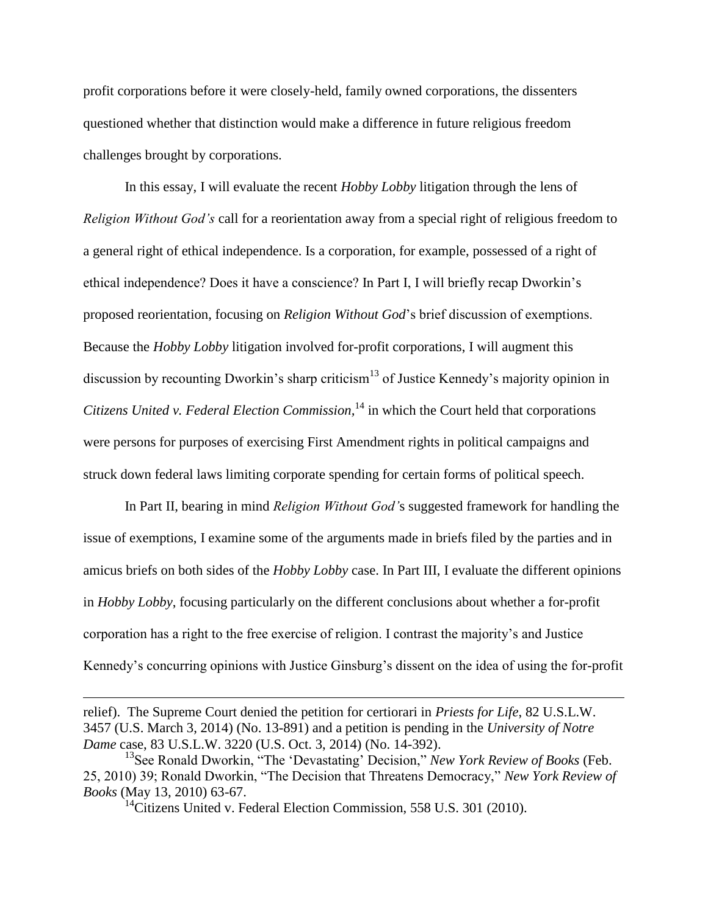profit corporations before it were closely-held, family owned corporations, the dissenters questioned whether that distinction would make a difference in future religious freedom challenges brought by corporations.

In this essay, I will evaluate the recent *Hobby Lobby* litigation through the lens of *Religion Without God's* call for a reorientation away from a special right of religious freedom to a general right of ethical independence. Is a corporation, for example, possessed of a right of ethical independence? Does it have a conscience? In Part I, I will briefly recap Dworkin's proposed reorientation, focusing on *Religion Without God*'s brief discussion of exemptions. Because the *Hobby Lobby* litigation involved for-profit corporations, I will augment this discussion by recounting Dworkin's sharp criticism<sup>13</sup> of Justice Kennedy's majority opinion in *Citizens United v. Federal Election Commission*<sup>14</sup> in which the Court held that corporations were persons for purposes of exercising First Amendment rights in political campaigns and struck down federal laws limiting corporate spending for certain forms of political speech.

In Part II, bearing in mind *Religion Without God'*s suggested framework for handling the issue of exemptions, I examine some of the arguments made in briefs filed by the parties and in amicus briefs on both sides of the *Hobby Lobby* case. In Part III, I evaluate the different opinions in *Hobby Lobby*, focusing particularly on the different conclusions about whether a for-profit corporation has a right to the free exercise of religion. I contrast the majority's and Justice Kennedy's concurring opinions with Justice Ginsburg's dissent on the idea of using the for-profit

relief). The Supreme Court denied the petition for certiorari in *Priests for Life*, 82 U.S.L.W. 3457 (U.S. March 3, 2014) (No. 13-891) and a petition is pending in the *University of Notre Dame* case, 83 U.S.L.W. 3220 (U.S. Oct. 3, 2014) (No. 14-392).

<sup>&</sup>lt;sup>13</sup>See Ronald Dworkin, "The 'Devastating' Decision," *New York Review of Books* (Feb. 25, 2010) 39; Ronald Dworkin, "The Decision that Threatens Democracy," *New York Review of Books* (May 13, 2010) 63-67.

 $14$ Citizens United v. Federal Election Commission, 558 U.S. 301 (2010).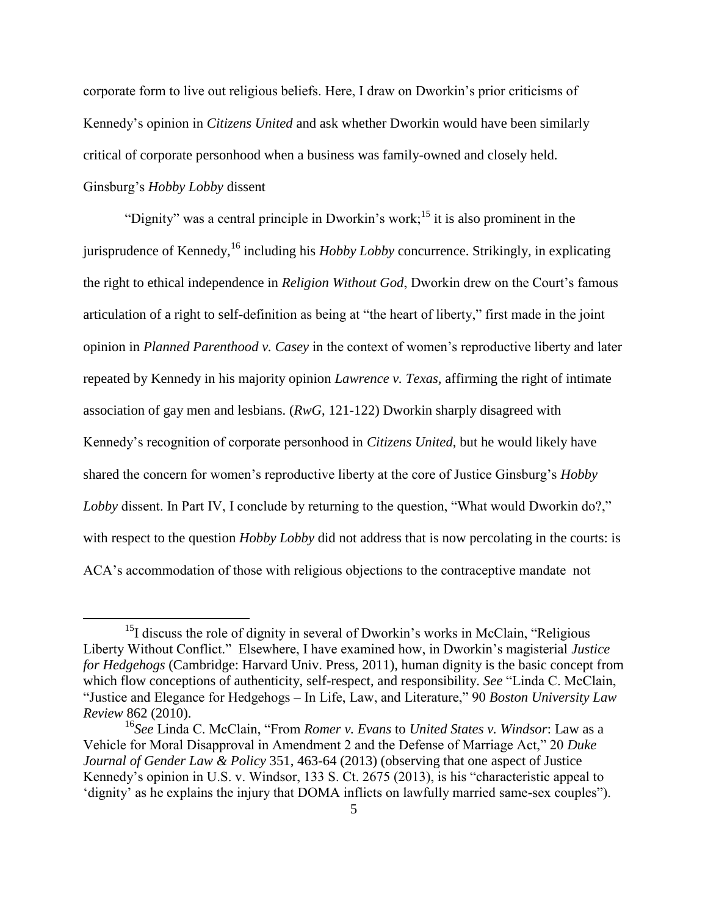corporate form to live out religious beliefs. Here, I draw on Dworkin's prior criticisms of Kennedy's opinion in *Citizens United* and ask whether Dworkin would have been similarly critical of corporate personhood when a business was family-owned and closely held. Ginsburg's *Hobby Lobby* dissent

"Dignity" was a central principle in Dworkin's work;<sup>15</sup> it is also prominent in the jurisprudence of Kennedy,<sup>16</sup> including his *Hobby Lobby* concurrence. Strikingly, in explicating the right to ethical independence in *Religion Without God*, Dworkin drew on the Court's famous articulation of a right to self-definition as being at "the heart of liberty," first made in the joint opinion in *Planned Parenthood v. Casey* in the context of women's reproductive liberty and later repeated by Kennedy in his majority opinion *Lawrence v. Texas,* affirming the right of intimate association of gay men and lesbians. (*RwG*, 121-122) Dworkin sharply disagreed with Kennedy's recognition of corporate personhood in *Citizens United*, but he would likely have shared the concern for women's reproductive liberty at the core of Justice Ginsburg's *Hobby Lobby* dissent. In Part IV, I conclude by returning to the question, "What would Dworkin do?," with respect to the question *Hobby Lobby* did not address that is now percolating in the courts: is ACA's accommodation of those with religious objections to the contraceptive mandate not

 $<sup>15</sup>I$  discuss the role of dignity in several of Dworkin's works in McClain, "Religious</sup> Liberty Without Conflict." Elsewhere, I have examined how, in Dworkin's magisterial *Justice for Hedgehogs* (Cambridge: Harvard Univ. Press, 2011), human dignity is the basic concept from which flow conceptions of authenticity, self-respect, and responsibility. *See* "Linda C. McClain, "Justice and Elegance for Hedgehogs – In Life, Law, and Literature," 90 *Boston University Law Review* 862 (2010).

<sup>16</sup>*See* Linda C. McClain, "From *Romer v. Evans* to *United States v. Windsor*: Law as a Vehicle for Moral Disapproval in Amendment 2 and the Defense of Marriage Act," 20 *Duke Journal of Gender Law & Policy* 351, 463-64 (2013) (observing that one aspect of Justice Kennedy's opinion in U.S. v. Windsor, 133 S. Ct. 2675 (2013), is his "characteristic appeal to 'dignity' as he explains the injury that DOMA inflicts on lawfully married same-sex couples").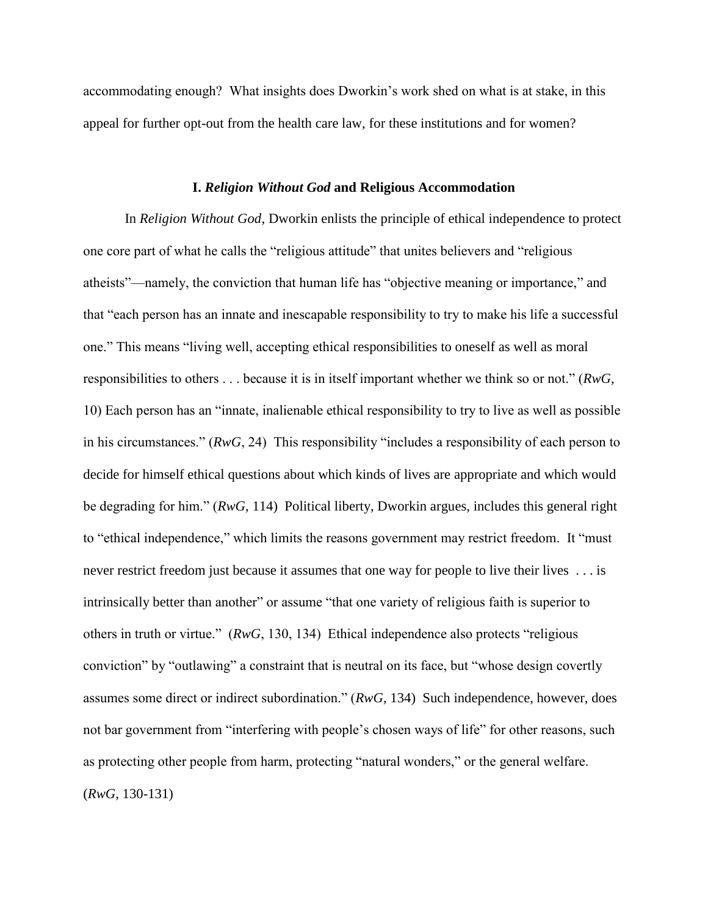accommodating enough? What insights does Dworkin's work shed on what is at stake, in this appeal for further opt-out from the health care law, for these institutions and for women?

#### **I.** *Religion Without God* **and Religious Accommodation**

In *Religion Without God*, Dworkin enlists the principle of ethical independence to protect one core part of what he calls the "religious attitude" that unites believers and "religious atheists"—namely, the conviction that human life has "objective meaning or importance," and that "each person has an innate and inescapable responsibility to try to make his life a successful one." This means "living well, accepting ethical responsibilities to oneself as well as moral responsibilities to others . . . because it is in itself important whether we think so or not." (*RwG*, 10) Each person has an "innate, inalienable ethical responsibility to try to live as well as possible in his circumstances." (*RwG*, 24) This responsibility "includes a responsibility of each person to decide for himself ethical questions about which kinds of lives are appropriate and which would be degrading for him." (*RwG*, 114) Political liberty, Dworkin argues, includes this general right to "ethical independence," which limits the reasons government may restrict freedom. It "must never restrict freedom just because it assumes that one way for people to live their lives . . . is intrinsically better than another" or assume "that one variety of religious faith is superior to others in truth or virtue." (*RwG*, 130, 134) Ethical independence also protects "religious conviction" by "outlawing" a constraint that is neutral on its face, but "whose design covertly assumes some direct or indirect subordination." (*RwG*, 134) Such independence, however, does not bar government from "interfering with people's chosen ways of life" for other reasons, such as protecting other people from harm, protecting "natural wonders," or the general welfare. (*RwG,* 130-131)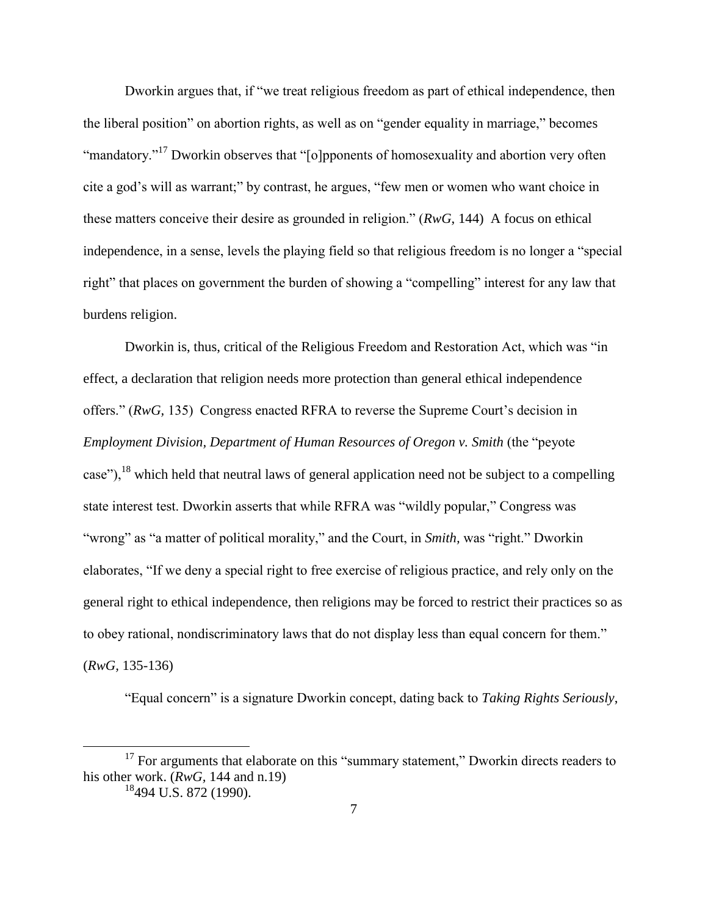Dworkin argues that, if "we treat religious freedom as part of ethical independence, then the liberal position" on abortion rights, as well as on "gender equality in marriage," becomes "mandatory."<sup>17</sup> Dworkin observes that "[o]pponents of homosexuality and abortion very often cite a god's will as warrant;" by contrast, he argues, "few men or women who want choice in these matters conceive their desire as grounded in religion." (*RwG*, 144) A focus on ethical independence, in a sense, levels the playing field so that religious freedom is no longer a "special right" that places on government the burden of showing a "compelling" interest for any law that burdens religion.

Dworkin is, thus, critical of the Religious Freedom and Restoration Act, which was "in effect, a declaration that religion needs more protection than general ethical independence offers." (*RwG,* 135) Congress enacted RFRA to reverse the Supreme Court's decision in *Employment Division, Department of Human Resources of Oregon v. Smith* (the "peyote case"),<sup>18</sup> which held that neutral laws of general application need not be subject to a compelling state interest test. Dworkin asserts that while RFRA was "wildly popular," Congress was "wrong" as "a matter of political morality," and the Court, in *Smith,* was "right." Dworkin elaborates, "If we deny a special right to free exercise of religious practice, and rely only on the general right to ethical independence, then religions may be forced to restrict their practices so as to obey rational, nondiscriminatory laws that do not display less than equal concern for them." (*RwG,* 135-136)

"Equal concern" is a signature Dworkin concept, dating back to *Taking Rights Seriously*,

<sup>&</sup>lt;sup>17</sup> For arguments that elaborate on this "summary statement," Dworkin directs readers to his other work. (*RwG,* 144 and n.19) <sup>18</sup>494 U.S. 872 (1990).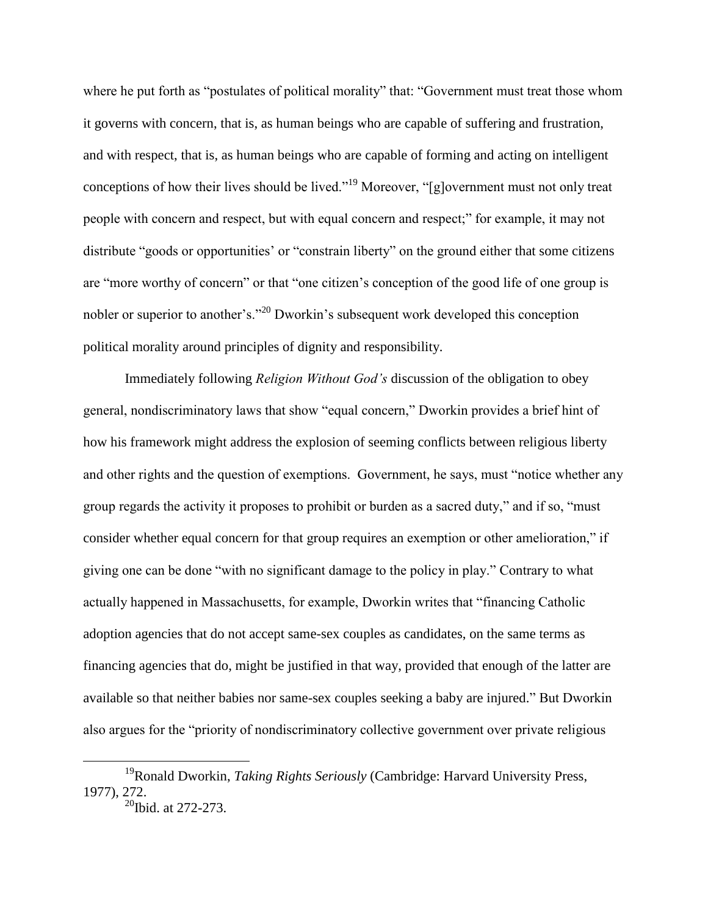where he put forth as "postulates of political morality" that: "Government must treat those whom it governs with concern, that is, as human beings who are capable of suffering and frustration, and with respect, that is, as human beings who are capable of forming and acting on intelligent conceptions of how their lives should be lived."<sup>19</sup> Moreover, "[g]overnment must not only treat people with concern and respect, but with equal concern and respect;" for example, it may not distribute "goods or opportunities' or "constrain liberty" on the ground either that some citizens are "more worthy of concern" or that "one citizen's conception of the good life of one group is nobler or superior to another's."<sup>20</sup> Dworkin's subsequent work developed this conception political morality around principles of dignity and responsibility.

Immediately following *Religion Without God's* discussion of the obligation to obey general, nondiscriminatory laws that show "equal concern," Dworkin provides a brief hint of how his framework might address the explosion of seeming conflicts between religious liberty and other rights and the question of exemptions. Government, he says, must "notice whether any group regards the activity it proposes to prohibit or burden as a sacred duty," and if so, "must consider whether equal concern for that group requires an exemption or other amelioration," if giving one can be done "with no significant damage to the policy in play." Contrary to what actually happened in Massachusetts, for example, Dworkin writes that "financing Catholic adoption agencies that do not accept same-sex couples as candidates, on the same terms as financing agencies that do, might be justified in that way, provided that enough of the latter are available so that neither babies nor same-sex couples seeking a baby are injured." But Dworkin also argues for the "priority of nondiscriminatory collective government over private religious

<sup>19</sup>Ronald Dworkin, *Taking Rights Seriously* (Cambridge: Harvard University Press, 1977), 272.

 $20^{20}$ Thid. at 272-273.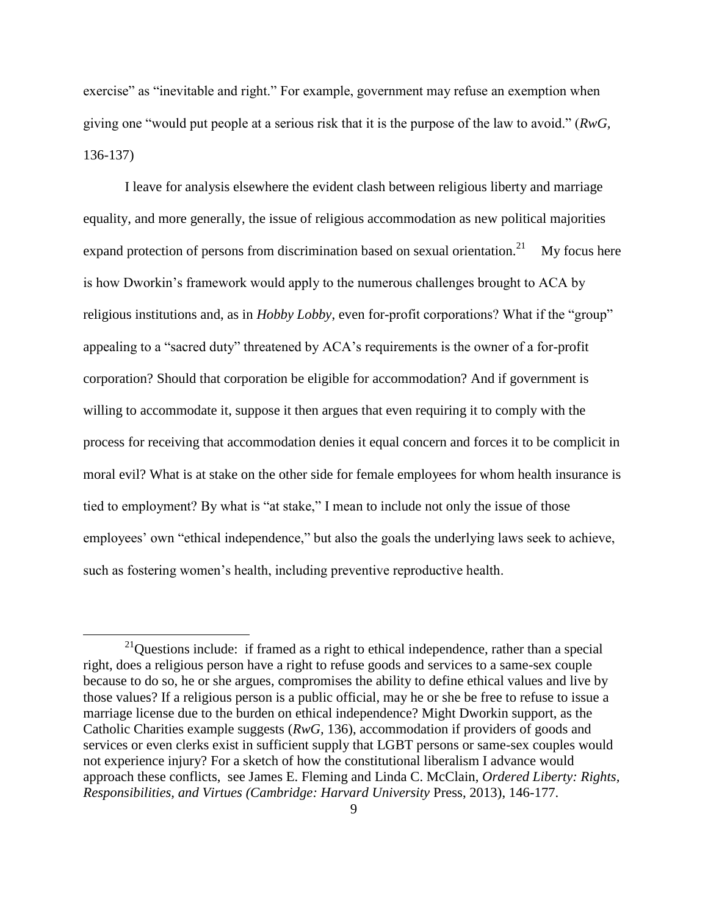exercise" as "inevitable and right." For example, government may refuse an exemption when giving one "would put people at a serious risk that it is the purpose of the law to avoid." (*RwG,* 136-137)

I leave for analysis elsewhere the evident clash between religious liberty and marriage equality, and more generally, the issue of religious accommodation as new political majorities expand protection of persons from discrimination based on sexual orientation.<sup>21</sup> My focus here is how Dworkin's framework would apply to the numerous challenges brought to ACA by religious institutions and, as in *Hobby Lobby*, even for-profit corporations? What if the "group" appealing to a "sacred duty" threatened by ACA's requirements is the owner of a for-profit corporation? Should that corporation be eligible for accommodation? And if government is willing to accommodate it, suppose it then argues that even requiring it to comply with the process for receiving that accommodation denies it equal concern and forces it to be complicit in moral evil? What is at stake on the other side for female employees for whom health insurance is tied to employment? By what is "at stake," I mean to include not only the issue of those employees' own "ethical independence," but also the goals the underlying laws seek to achieve, such as fostering women's health, including preventive reproductive health.

 $21$ Questions include: if framed as a right to ethical independence, rather than a special right, does a religious person have a right to refuse goods and services to a same-sex couple because to do so, he or she argues, compromises the ability to define ethical values and live by those values? If a religious person is a public official, may he or she be free to refuse to issue a marriage license due to the burden on ethical independence? Might Dworkin support, as the Catholic Charities example suggests (*RwG,* 136), accommodation if providers of goods and services or even clerks exist in sufficient supply that LGBT persons or same-sex couples would not experience injury? For a sketch of how the constitutional liberalism I advance would approach these conflicts, see James E. Fleming and Linda C. McClain, *Ordered Liberty: Rights, Responsibilities, and Virtues (Cambridge: Harvard University* Press, 2013), 146-177.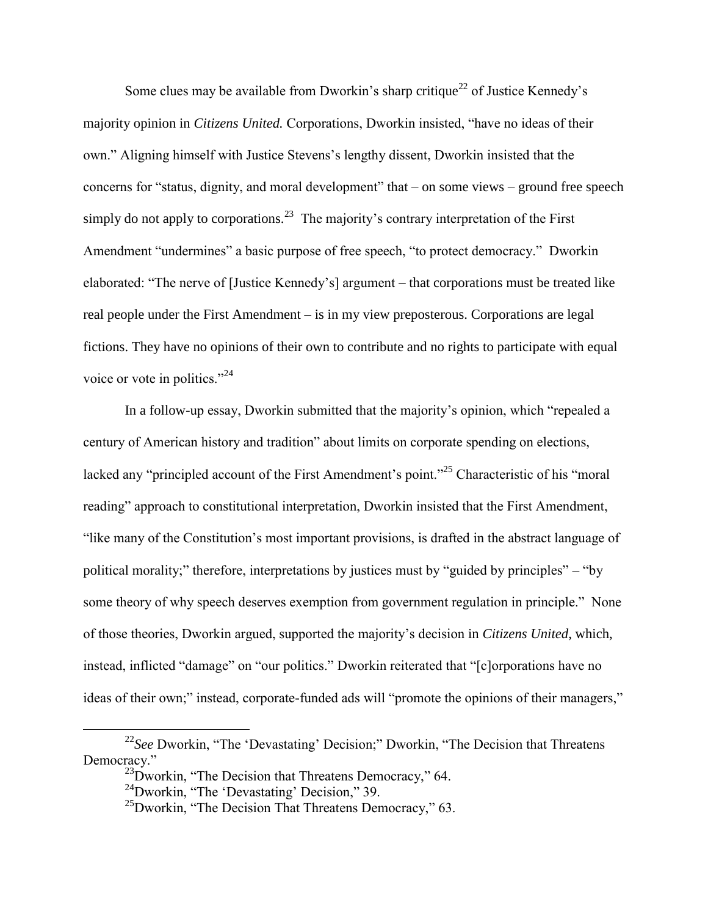Some clues may be available from Dworkin's sharp critique<sup>22</sup> of Justice Kennedy's majority opinion in *Citizens United.* Corporations, Dworkin insisted, "have no ideas of their own." Aligning himself with Justice Stevens's lengthy dissent, Dworkin insisted that the concerns for "status, dignity, and moral development" that – on some views – ground free speech simply do not apply to corporations.<sup>23</sup> The majority's contrary interpretation of the First Amendment "undermines" a basic purpose of free speech, "to protect democracy." Dworkin elaborated: "The nerve of [Justice Kennedy's] argument – that corporations must be treated like real people under the First Amendment – is in my view preposterous. Corporations are legal fictions. They have no opinions of their own to contribute and no rights to participate with equal voice or vote in politics."<sup>24</sup>

In a follow-up essay, Dworkin submitted that the majority's opinion, which "repealed a century of American history and tradition" about limits on corporate spending on elections, lacked any "principled account of the First Amendment's point."<sup>25</sup> Characteristic of his "moral reading" approach to constitutional interpretation, Dworkin insisted that the First Amendment, "like many of the Constitution's most important provisions, is drafted in the abstract language of political morality;" therefore, interpretations by justices must by "guided by principles" – "by some theory of why speech deserves exemption from government regulation in principle." None of those theories, Dworkin argued, supported the majority's decision in *Citizens United*, which, instead, inflicted "damage" on "our politics." Dworkin reiterated that "[c]orporations have no ideas of their own;" instead, corporate-funded ads will "promote the opinions of their managers,"

<sup>&</sup>lt;sup>22</sup>See Dworkin, "The 'Devastating' Decision;" Dworkin, "The Decision that Threatens Democracy."

 $^{23}$ Dworkin, "The Decision that Threatens Democracy," 64.

<sup>&</sup>lt;sup>24</sup>Dworkin, "The 'Devastating' Decision," 39.

 $^{25}$ Dworkin, "The Decision That Threatens Democracy," 63.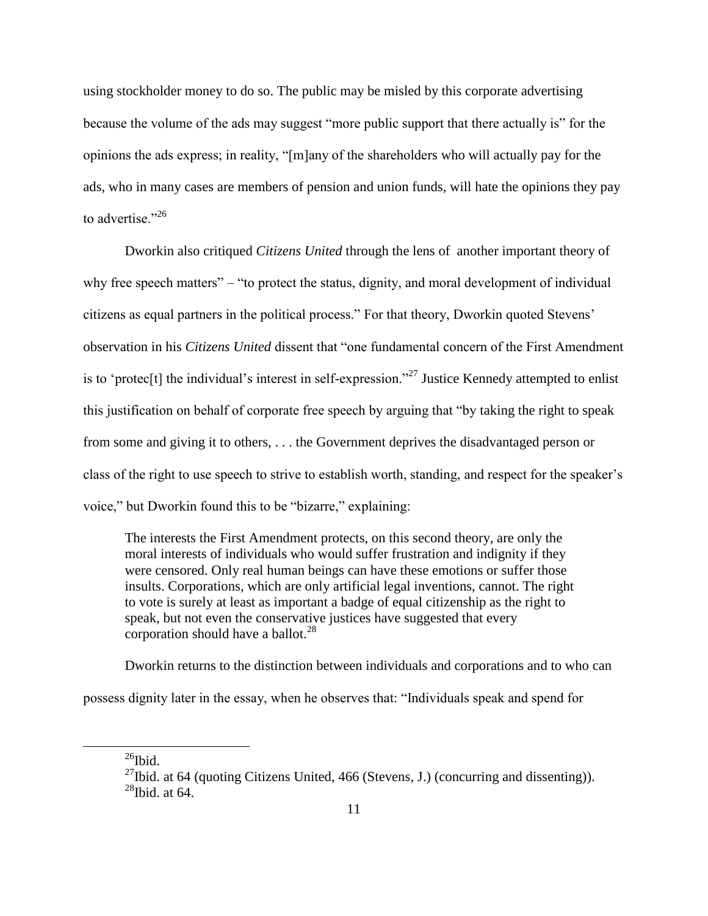using stockholder money to do so. The public may be misled by this corporate advertising because the volume of the ads may suggest "more public support that there actually is" for the opinions the ads express; in reality, "[m]any of the shareholders who will actually pay for the ads, who in many cases are members of pension and union funds, will hate the opinions they pay to advertise."<sup>26</sup>

Dworkin also critiqued *Citizens United* through the lens of another important theory of why free speech matters" – "to protect the status, dignity, and moral development of individual citizens as equal partners in the political process." For that theory, Dworkin quoted Stevens' observation in his *Citizens United* dissent that "one fundamental concern of the First Amendment is to 'protec[t] the individual's interest in self-expression."<sup>27</sup> Justice Kennedy attempted to enlist this justification on behalf of corporate free speech by arguing that "by taking the right to speak from some and giving it to others, . . . the Government deprives the disadvantaged person or class of the right to use speech to strive to establish worth, standing, and respect for the speaker's voice," but Dworkin found this to be "bizarre," explaining:

The interests the First Amendment protects, on this second theory, are only the moral interests of individuals who would suffer frustration and indignity if they were censored. Only real human beings can have these emotions or suffer those insults. Corporations, which are only artificial legal inventions, cannot. The right to vote is surely at least as important a badge of equal citizenship as the right to speak, but not even the conservative justices have suggested that every corporation should have a ballot.<sup>28</sup>

Dworkin returns to the distinction between individuals and corporations and to who can possess dignity later in the essay, when he observes that: "Individuals speak and spend for

 $^{26}$ Ibid.

<sup>&</sup>lt;sup>27</sup>Ibid. at 64 (quoting Citizens United, 466 (Stevens, J.) (concurring and dissenting)).  $^{28}$ Ibid. at 64.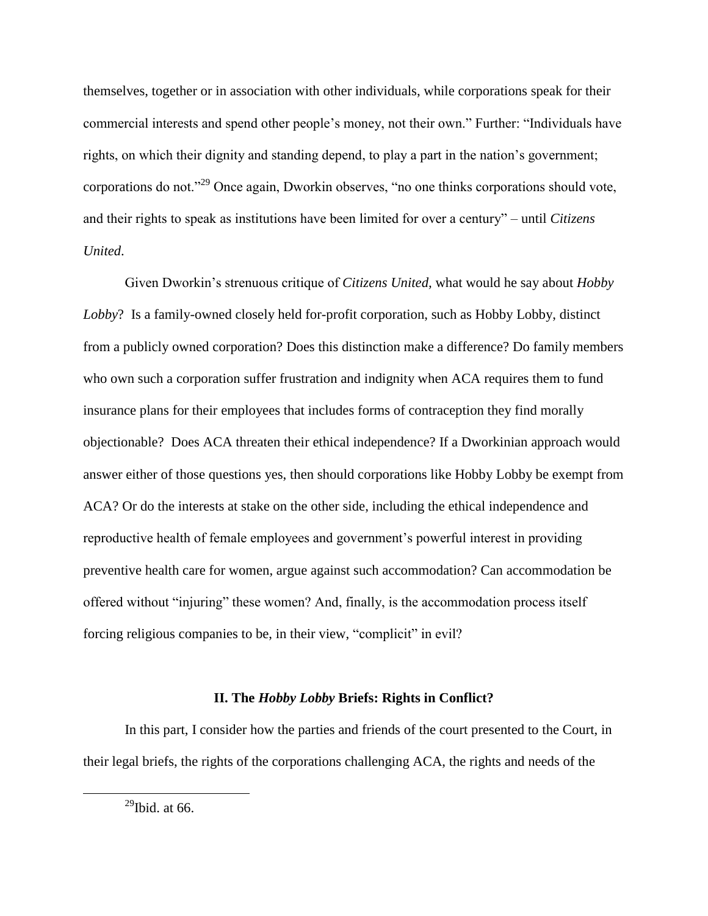themselves, together or in association with other individuals, while corporations speak for their commercial interests and spend other people's money, not their own." Further: "Individuals have rights, on which their dignity and standing depend, to play a part in the nation's government; corporations do not."<sup>29</sup> Once again, Dworkin observes, "no one thinks corporations should vote, and their rights to speak as institutions have been limited for over a century" – until *Citizens United*.

Given Dworkin's strenuous critique of *Citizens United,* what would he say about *Hobby Lobby*? Is a family-owned closely held for-profit corporation, such as Hobby Lobby, distinct from a publicly owned corporation? Does this distinction make a difference? Do family members who own such a corporation suffer frustration and indignity when ACA requires them to fund insurance plans for their employees that includes forms of contraception they find morally objectionable? Does ACA threaten their ethical independence? If a Dworkinian approach would answer either of those questions yes, then should corporations like Hobby Lobby be exempt from ACA? Or do the interests at stake on the other side, including the ethical independence and reproductive health of female employees and government's powerful interest in providing preventive health care for women, argue against such accommodation? Can accommodation be offered without "injuring" these women? And, finally, is the accommodation process itself forcing religious companies to be, in their view, "complicit" in evil?

#### **II. The** *Hobby Lobby* **Briefs: Rights in Conflict?**

In this part, I consider how the parties and friends of the court presented to the Court, in their legal briefs, the rights of the corporations challenging ACA, the rights and needs of the

 $^{29}$ Ibid. at 66.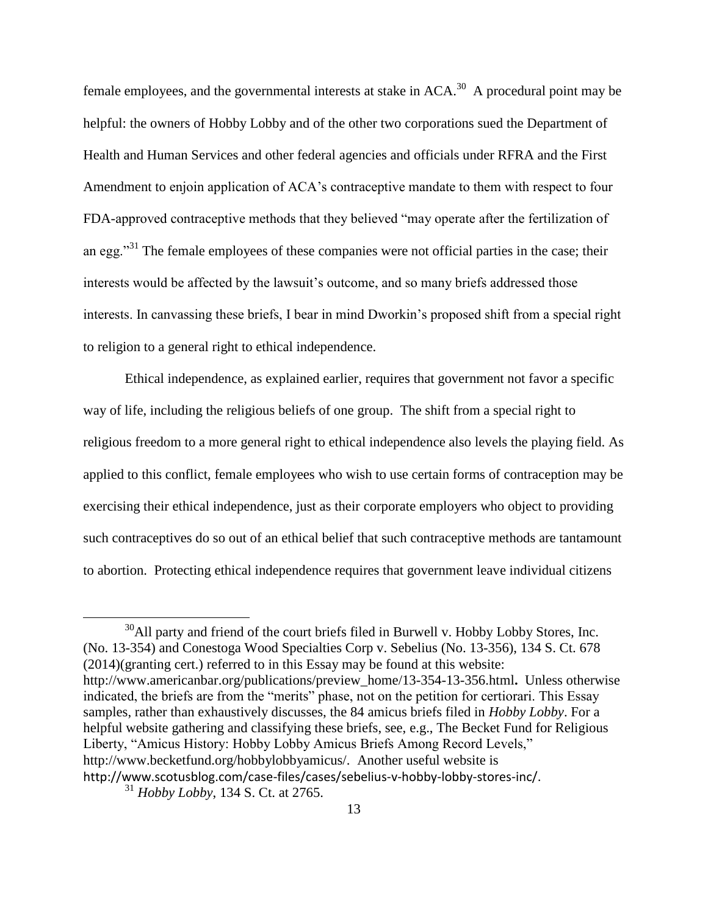female employees, and the governmental interests at stake in  $ACA$ .<sup>30</sup> A procedural point may be helpful: the owners of Hobby Lobby and of the other two corporations sued the Department of Health and Human Services and other federal agencies and officials under RFRA and the First Amendment to enjoin application of ACA's contraceptive mandate to them with respect to four FDA-approved contraceptive methods that they believed "may operate after the fertilization of an egg."<sup>31</sup> The female employees of these companies were not official parties in the case; their interests would be affected by the lawsuit's outcome, and so many briefs addressed those interests. In canvassing these briefs, I bear in mind Dworkin's proposed shift from a special right to religion to a general right to ethical independence.

Ethical independence, as explained earlier, requires that government not favor a specific way of life, including the religious beliefs of one group. The shift from a special right to religious freedom to a more general right to ethical independence also levels the playing field. As applied to this conflict, female employees who wish to use certain forms of contraception may be exercising their ethical independence, just as their corporate employers who object to providing such contraceptives do so out of an ethical belief that such contraceptive methods are tantamount to abortion. Protecting ethical independence requires that government leave individual citizens

<sup>&</sup>lt;sup>30</sup>All party and friend of the court briefs filed in Burwell v. Hobby Lobby Stores, Inc. (No. 13-354) and Conestoga Wood Specialties Corp v. Sebelius (No. 13-356), 134 S. Ct. 678 (2014)(granting cert.) referred to in this Essay may be found at this website: http://www.americanbar.org/publications/preview\_home/13-354-13-356.html**.** Unless otherwise indicated, the briefs are from the "merits" phase, not on the petition for certiorari. This Essay samples, rather than exhaustively discusses, the 84 amicus briefs filed in *Hobby Lobby*. For a helpful website gathering and classifying these briefs, see, e.g., The Becket Fund for Religious Liberty, "Amicus History: Hobby Lobby Amicus Briefs Among Record Levels," http://www.becketfund.org/hobbylobbyamicus/. Another useful website is http://www.scotusblog.com/case-files/cases/sebelius-v-hobby-lobby-stores-inc/.

<sup>31</sup> *Hobby Lobby*, 134 S. Ct. at 2765.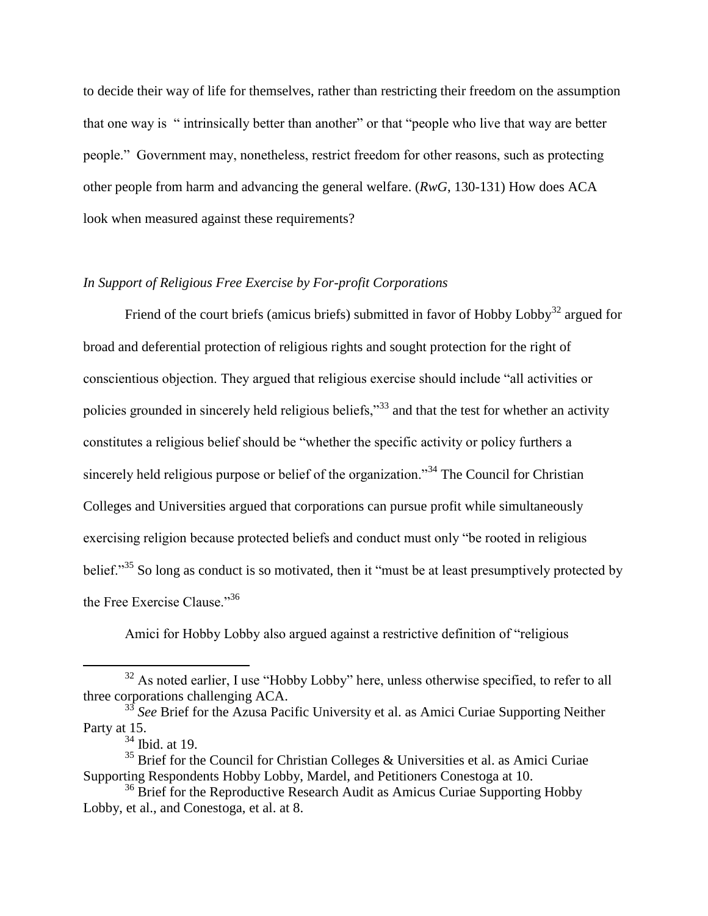to decide their way of life for themselves, rather than restricting their freedom on the assumption that one way is " intrinsically better than another" or that "people who live that way are better people." Government may, nonetheless, restrict freedom for other reasons, such as protecting other people from harm and advancing the general welfare. (*RwG*, 130-131) How does ACA look when measured against these requirements?

#### *In Support of Religious Free Exercise by For-profit Corporations*

Friend of the court briefs (amicus briefs) submitted in favor of Hobby Lobby<sup>32</sup> argued for broad and deferential protection of religious rights and sought protection for the right of conscientious objection. They argued that religious exercise should include "all activities or policies grounded in sincerely held religious beliefs,"<sup>33</sup> and that the test for whether an activity constitutes a religious belief should be "whether the specific activity or policy furthers a sincerely held religious purpose or belief of the organization.<sup>34</sup> The Council for Christian Colleges and Universities argued that corporations can pursue profit while simultaneously exercising religion because protected beliefs and conduct must only "be rooted in religious belief."<sup>35</sup> So long as conduct is so motivated, then it "must be at least presumptively protected by the Free Exercise Clause."<sup>36</sup>

Amici for Hobby Lobby also argued against a restrictive definition of "religious

<sup>&</sup>lt;sup>32</sup> As noted earlier, I use "Hobby Lobby" here, unless otherwise specified, to refer to all three corporations challenging ACA.

<sup>&</sup>lt;sup>33</sup> See Brief for the Azusa Pacific University et al. as Amici Curiae Supporting Neither Party at 15.

 $34$  Ibid. at 19.

 $35$  Brief for the Council for Christian Colleges & Universities et al. as Amici Curiae Supporting Respondents Hobby Lobby, Mardel, and Petitioners Conestoga at 10.

 $36$  Brief for the Reproductive Research Audit as Amicus Curiae Supporting Hobby Lobby, et al., and Conestoga, et al. at 8.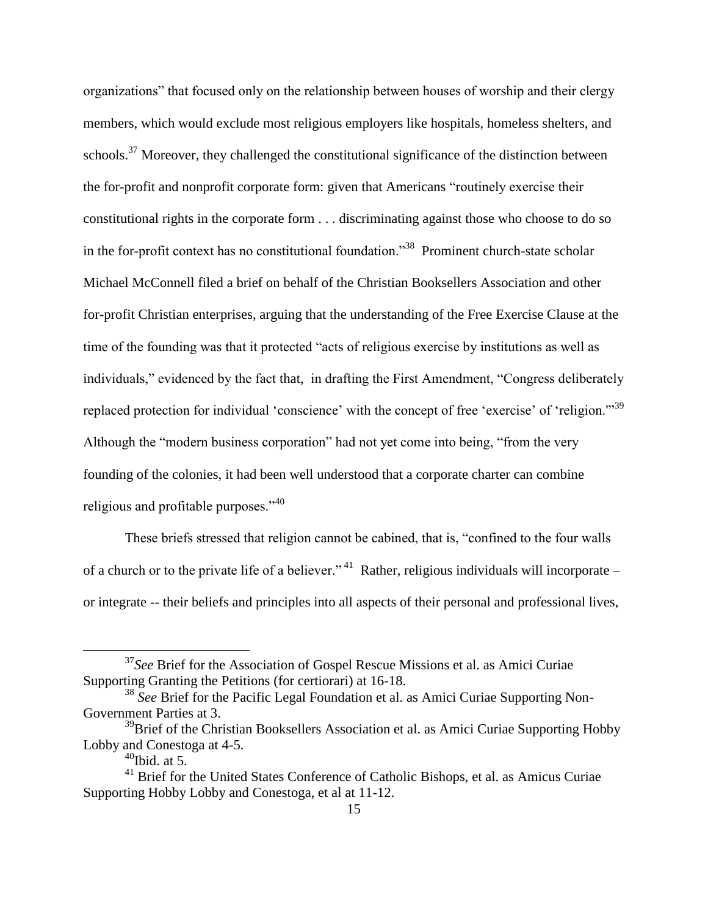organizations" that focused only on the relationship between houses of worship and their clergy members, which would exclude most religious employers like hospitals, homeless shelters, and schools.<sup>37</sup> Moreover, they challenged the constitutional significance of the distinction between the for-profit and nonprofit corporate form: given that Americans "routinely exercise their constitutional rights in the corporate form . . . discriminating against those who choose to do so in the for-profit context has no constitutional foundation.<sup>38</sup> Prominent church-state scholar Michael McConnell filed a brief on behalf of the Christian Booksellers Association and other for-profit Christian enterprises, arguing that the understanding of the Free Exercise Clause at the time of the founding was that it protected "acts of religious exercise by institutions as well as individuals," evidenced by the fact that, in drafting the First Amendment, "Congress deliberately replaced protection for individual 'conscience' with the concept of free 'exercise' of 'religion.'"<sup>39</sup> Although the "modern business corporation" had not yet come into being, "from the very founding of the colonies, it had been well understood that a corporate charter can combine religious and profitable purposes."<sup>40</sup>

These briefs stressed that religion cannot be cabined, that is, "confined to the four walls of a church or to the private life of a believer."<sup>41</sup> Rather, religious individuals will incorporate  $$ or integrate -- their beliefs and principles into all aspects of their personal and professional lives,

<sup>37</sup>*See* Brief for the Association of Gospel Rescue Missions et al. as Amici Curiae Supporting Granting the Petitions (for certiorari) at 16-18.

<sup>38</sup> *See* Brief for the Pacific Legal Foundation et al. as Amici Curiae Supporting Non-Government Parties at 3.

<sup>&</sup>lt;sup>39</sup>Brief of the Christian Booksellers Association et al. as Amici Curiae Supporting Hobby Lobby and Conestoga at 4-5.

 $^{40}$ Ibid. at 5.

<sup>&</sup>lt;sup>41</sup> Brief for the United States Conference of Catholic Bishops, et al. as Amicus Curiae Supporting Hobby Lobby and Conestoga, et al at 11-12.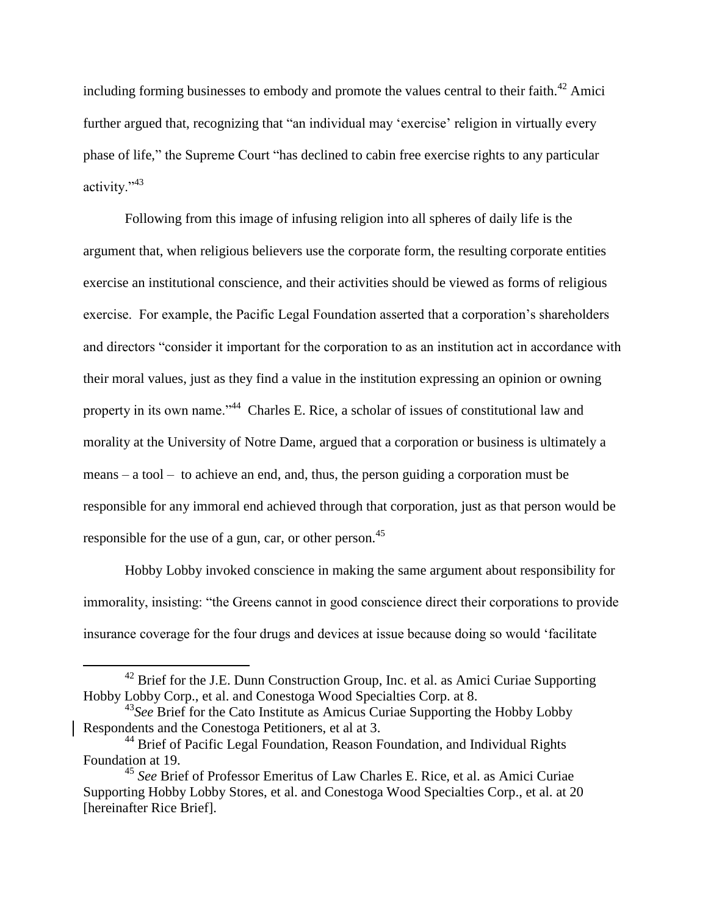including forming businesses to embody and promote the values central to their faith.<sup>42</sup> Amici further argued that, recognizing that "an individual may 'exercise' religion in virtually every phase of life," the Supreme Court "has declined to cabin free exercise rights to any particular activity."<sup>43</sup>

Following from this image of infusing religion into all spheres of daily life is the argument that, when religious believers use the corporate form, the resulting corporate entities exercise an institutional conscience, and their activities should be viewed as forms of religious exercise. For example, the Pacific Legal Foundation asserted that a corporation's shareholders and directors "consider it important for the corporation to as an institution act in accordance with their moral values, just as they find a value in the institution expressing an opinion or owning property in its own name."<sup>44</sup> Charles E. Rice, a scholar of issues of constitutional law and morality at the University of Notre Dame, argued that a corporation or business is ultimately a means – a tool – to achieve an end, and, thus, the person guiding a corporation must be responsible for any immoral end achieved through that corporation, just as that person would be responsible for the use of a gun, car, or other person.<sup>45</sup>

Hobby Lobby invoked conscience in making the same argument about responsibility for immorality, insisting: "the Greens cannot in good conscience direct their corporations to provide insurance coverage for the four drugs and devices at issue because doing so would 'facilitate

 $42$  Brief for the J.E. Dunn Construction Group, Inc. et al. as Amici Curiae Supporting Hobby Lobby Corp., et al. and Conestoga Wood Specialties Corp. at 8.

<sup>&</sup>lt;sup>43</sup>See Brief for the Cato Institute as Amicus Curiae Supporting the Hobby Lobby Respondents and the Conestoga Petitioners, et al at 3.

<sup>&</sup>lt;sup>44</sup> Brief of Pacific Legal Foundation, Reason Foundation, and Individual Rights Foundation at 19.

<sup>45</sup> *See* Brief of Professor Emeritus of Law Charles E. Rice, et al. as Amici Curiae Supporting Hobby Lobby Stores, et al. and Conestoga Wood Specialties Corp., et al. at 20 [hereinafter Rice Brief].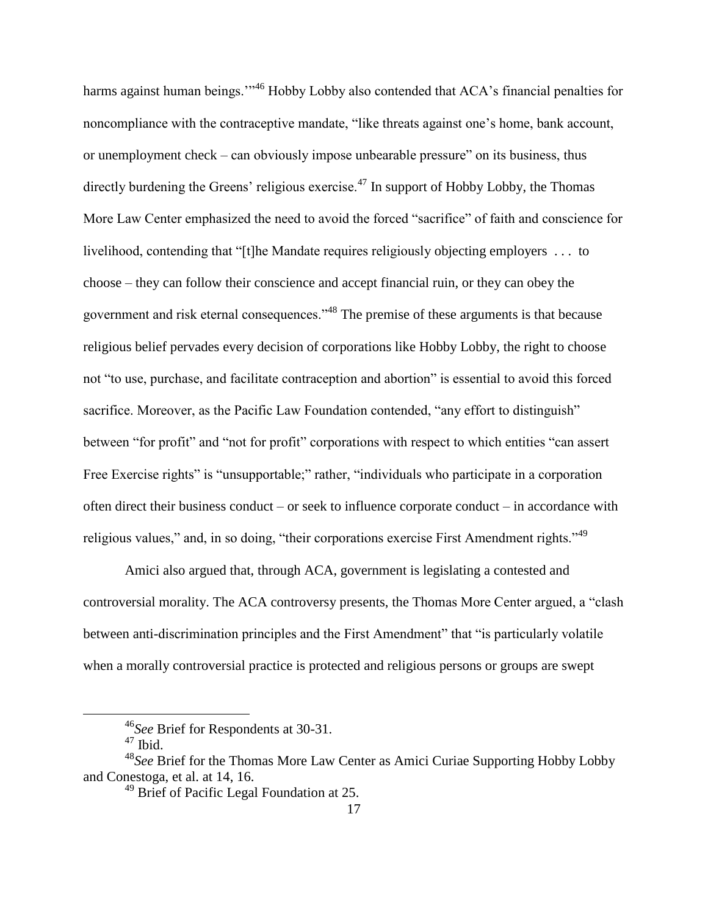harms against human beings.<sup>"46</sup> Hobby Lobby also contended that ACA's financial penalties for noncompliance with the contraceptive mandate, "like threats against one's home, bank account, or unemployment check – can obviously impose unbearable pressure" on its business, thus directly burdening the Greens' religious exercise.<sup>47</sup> In support of Hobby Lobby, the Thomas More Law Center emphasized the need to avoid the forced "sacrifice" of faith and conscience for livelihood, contending that "[t]he Mandate requires religiously objecting employers . . . to choose – they can follow their conscience and accept financial ruin, or they can obey the government and risk eternal consequences."<sup>48</sup> The premise of these arguments is that because religious belief pervades every decision of corporations like Hobby Lobby, the right to choose not "to use, purchase, and facilitate contraception and abortion" is essential to avoid this forced sacrifice. Moreover, as the Pacific Law Foundation contended, "any effort to distinguish" between "for profit" and "not for profit" corporations with respect to which entities "can assert Free Exercise rights" is "unsupportable;" rather, "individuals who participate in a corporation often direct their business conduct – or seek to influence corporate conduct – in accordance with religious values," and, in so doing, "their corporations exercise First Amendment rights."<sup>49</sup>

Amici also argued that, through ACA, government is legislating a contested and controversial morality. The ACA controversy presents, the Thomas More Center argued, a "clash between anti-discrimination principles and the First Amendment" that "is particularly volatile when a morally controversial practice is protected and religious persons or groups are swept

<sup>46</sup>*See* Brief for Respondents at 30-31.

 $47$  Ibid.

<sup>48</sup>*See* Brief for the Thomas More Law Center as Amici Curiae Supporting Hobby Lobby and Conestoga, et al. at 14, 16.

<sup>&</sup>lt;sup>49</sup> Brief of Pacific Legal Foundation at 25.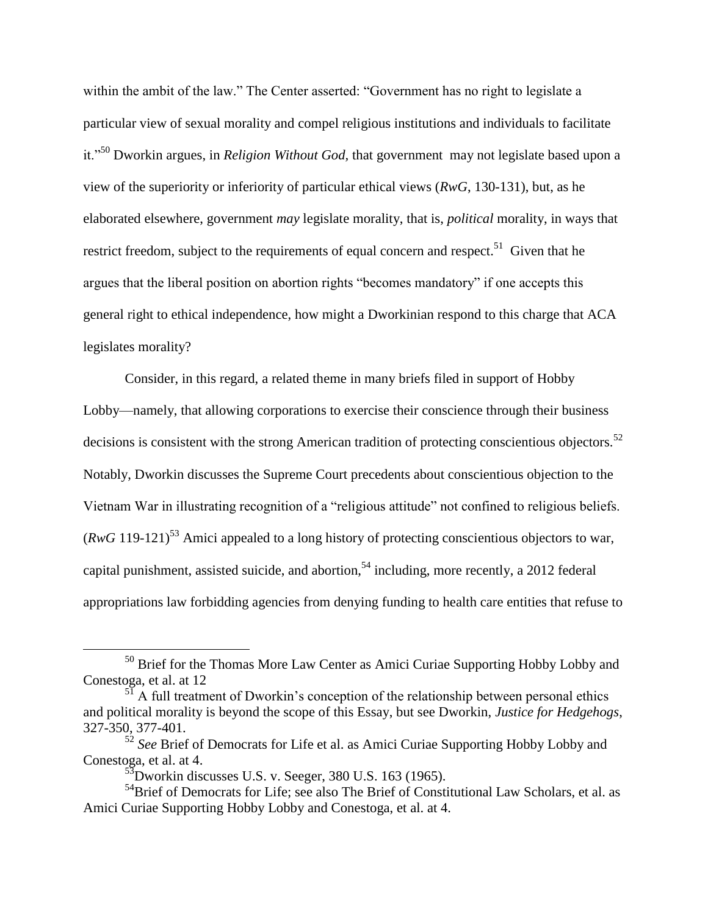within the ambit of the law." The Center asserted: "Government has no right to legislate a particular view of sexual morality and compel religious institutions and individuals to facilitate it."<sup>50</sup> Dworkin argues, in *Religion Without God,* that government may not legislate based upon a view of the superiority or inferiority of particular ethical views (*RwG*, 130-131), but, as he elaborated elsewhere, government *may* legislate morality, that is, *political* morality, in ways that restrict freedom, subject to the requirements of equal concern and respect.<sup>51</sup> Given that he argues that the liberal position on abortion rights "becomes mandatory" if one accepts this general right to ethical independence, how might a Dworkinian respond to this charge that ACA legislates morality?

Consider, in this regard, a related theme in many briefs filed in support of Hobby Lobby—namely, that allowing corporations to exercise their conscience through their business decisions is consistent with the strong American tradition of protecting conscientious objectors.<sup>52</sup> Notably, Dworkin discusses the Supreme Court precedents about conscientious objection to the Vietnam War in illustrating recognition of a "religious attitude" not confined to religious beliefs.  $(RwG119-121)^{53}$  Amici appealed to a long history of protecting conscientious objectors to war, capital punishment, assisted suicide, and abortion,<sup>54</sup> including, more recently, a 2012 federal appropriations law forbidding agencies from denying funding to health care entities that refuse to

<sup>&</sup>lt;sup>50</sup> Brief for the Thomas More Law Center as Amici Curiae Supporting Hobby Lobby and Conestoga, et al. at 12

 $<sup>51</sup>$  A full treatment of Dworkin's conception of the relationship between personal ethics</sup> and political morality is beyond the scope of this Essay, but see Dworkin, *Justice for Hedgehogs*, 327-350, 377-401.

<sup>52</sup> *See* Brief of Democrats for Life et al. as Amici Curiae Supporting Hobby Lobby and Conestoga, et al. at 4.

<sup>53</sup>Dworkin discusses U.S. v. Seeger, 380 U.S. 163 (1965).

<sup>&</sup>lt;sup>54</sup>Brief of Democrats for Life; see also The Brief of Constitutional Law Scholars, et al. as Amici Curiae Supporting Hobby Lobby and Conestoga, et al. at 4.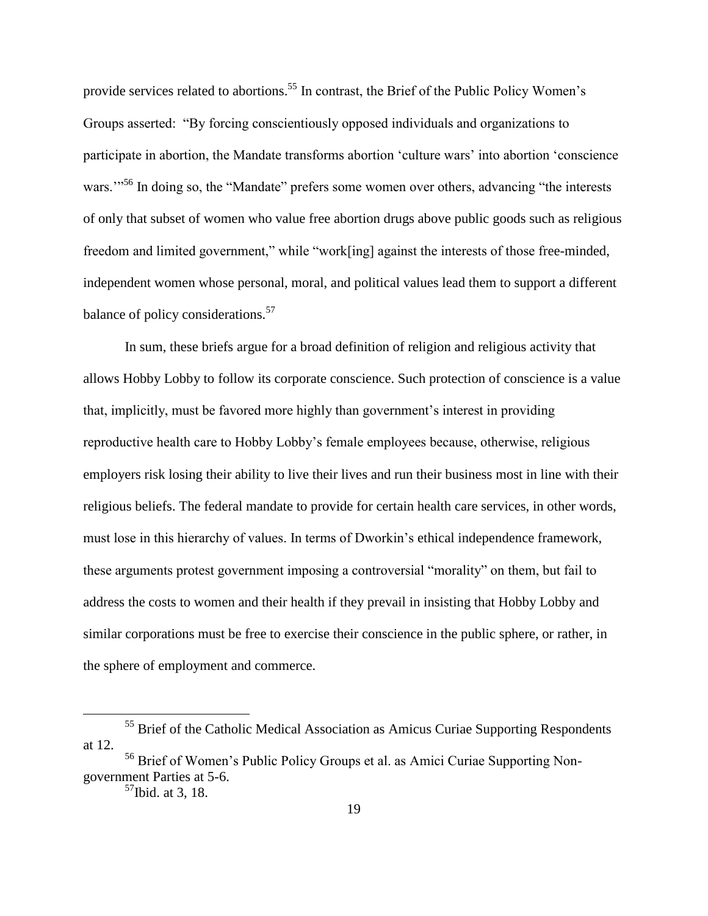provide services related to abortions.<sup>55</sup> In contrast, the Brief of the Public Policy Women's Groups asserted: "By forcing conscientiously opposed individuals and organizations to participate in abortion, the Mandate transforms abortion 'culture wars' into abortion 'conscience wars."<sup>56</sup> In doing so, the "Mandate" prefers some women over others, advancing "the interests" of only that subset of women who value free abortion drugs above public goods such as religious freedom and limited government," while "work[ing] against the interests of those free-minded, independent women whose personal, moral, and political values lead them to support a different balance of policy considerations.<sup>57</sup>

In sum, these briefs argue for a broad definition of religion and religious activity that allows Hobby Lobby to follow its corporate conscience. Such protection of conscience is a value that, implicitly, must be favored more highly than government's interest in providing reproductive health care to Hobby Lobby's female employees because, otherwise, religious employers risk losing their ability to live their lives and run their business most in line with their religious beliefs. The federal mandate to provide for certain health care services, in other words, must lose in this hierarchy of values. In terms of Dworkin's ethical independence framework, these arguments protest government imposing a controversial "morality" on them, but fail to address the costs to women and their health if they prevail in insisting that Hobby Lobby and similar corporations must be free to exercise their conscience in the public sphere, or rather, in the sphere of employment and commerce.

<sup>&</sup>lt;sup>55</sup> Brief of the Catholic Medical Association as Amicus Curiae Supporting Respondents at 12.

<sup>56</sup> Brief of Women's Public Policy Groups et al. as Amici Curiae Supporting Nongovernment Parties at 5-6.

 $57$ Ibid. at 3, 18.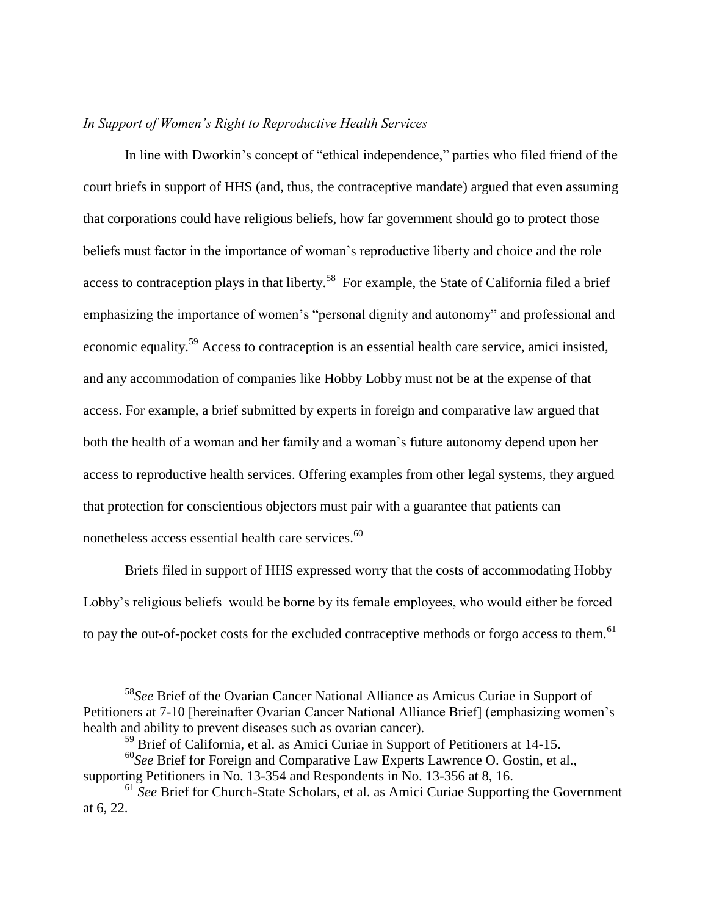#### *In Support of Women's Right to Reproductive Health Services*

In line with Dworkin's concept of "ethical independence," parties who filed friend of the court briefs in support of HHS (and, thus, the contraceptive mandate) argued that even assuming that corporations could have religious beliefs, how far government should go to protect those beliefs must factor in the importance of woman's reproductive liberty and choice and the role access to contraception plays in that liberty.<sup>58</sup> For example, the State of California filed a brief emphasizing the importance of women's "personal dignity and autonomy" and professional and economic equality.<sup>59</sup> Access to contraception is an essential health care service, amici insisted, and any accommodation of companies like Hobby Lobby must not be at the expense of that access. For example, a brief submitted by experts in foreign and comparative law argued that both the health of a woman and her family and a woman's future autonomy depend upon her access to reproductive health services. Offering examples from other legal systems, they argued that protection for conscientious objectors must pair with a guarantee that patients can nonetheless access essential health care services.<sup>60</sup>

Briefs filed in support of HHS expressed worry that the costs of accommodating Hobby Lobby's religious beliefs would be borne by its female employees, who would either be forced to pay the out-of-pocket costs for the excluded contraceptive methods or forgo access to them.<sup>61</sup>

<sup>58</sup>*See* Brief of the Ovarian Cancer National Alliance as Amicus Curiae in Support of Petitioners at 7-10 [hereinafter Ovarian Cancer National Alliance Brief] (emphasizing women's health and ability to prevent diseases such as ovarian cancer).

 $59$  Brief of California, et al. as Amici Curiae in Support of Petitioners at 14-15.

<sup>60</sup>*See* Brief for Foreign and Comparative Law Experts Lawrence O. Gostin, et al., supporting Petitioners in No. 13-354 and Respondents in No. 13-356 at 8, 16.

<sup>61</sup> *See* Brief for Church-State Scholars, et al. as Amici Curiae Supporting the Government at 6, 22.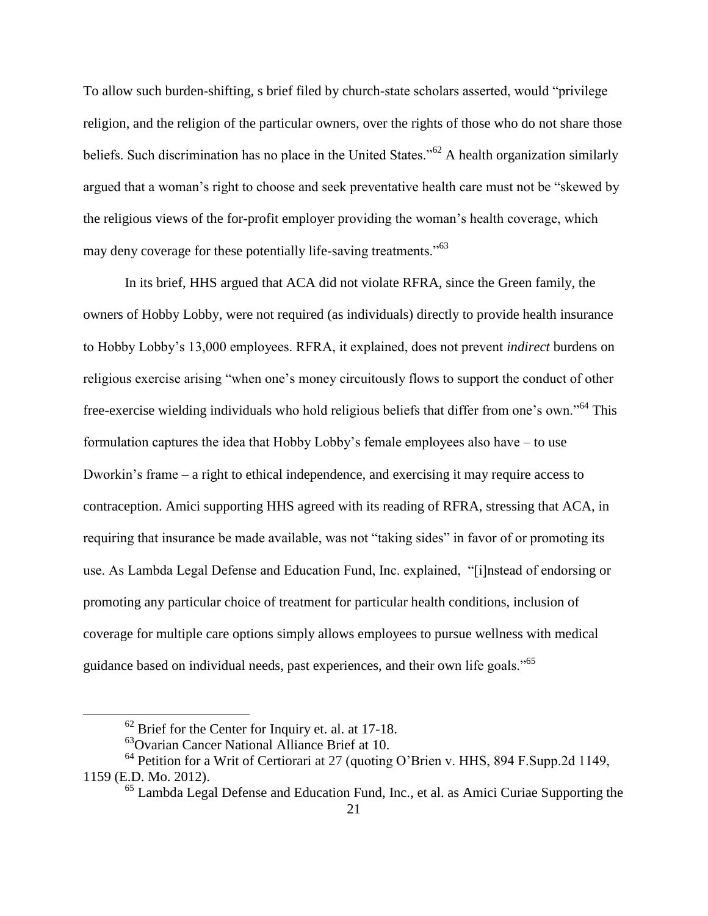To allow such burden-shifting, s brief filed by church-state scholars asserted, would "privilege religion, and the religion of the particular owners, over the rights of those who do not share those beliefs. Such discrimination has no place in the United States."<sup>62</sup> A health organization similarly argued that a woman's right to choose and seek preventative health care must not be "skewed by the religious views of the for-profit employer providing the woman's health coverage, which may deny coverage for these potentially life-saving treatments."<sup>63</sup>

In its brief, HHS argued that ACA did not violate RFRA, since the Green family, the owners of Hobby Lobby, were not required (as individuals) directly to provide health insurance to Hobby Lobby's 13,000 employees. RFRA, it explained, does not prevent *indirect* burdens on religious exercise arising "when one's money circuitously flows to support the conduct of other free-exercise wielding individuals who hold religious beliefs that differ from one's own."<sup>64</sup> This formulation captures the idea that Hobby Lobby's female employees also have – to use Dworkin's frame – a right to ethical independence, and exercising it may require access to contraception. Amici supporting HHS agreed with its reading of RFRA, stressing that ACA, in requiring that insurance be made available, was not "taking sides" in favor of or promoting its use. As Lambda Legal Defense and Education Fund, Inc. explained, "[i]nstead of endorsing or promoting any particular choice of treatment for particular health conditions, inclusion of coverage for multiple care options simply allows employees to pursue wellness with medical guidance based on individual needs, past experiences, and their own life goals."<sup>65</sup>

<sup>&</sup>lt;sup>62</sup> Brief for the Center for Inquiry et. al. at 17-18.

<sup>63</sup>Ovarian Cancer National Alliance Brief at 10.

<sup>&</sup>lt;sup>64</sup> Petition for a Writ of Certiorari at 27 (quoting O'Brien v. HHS, 894 F.Supp.2d 1149, 1159 (E.D. Mo. 2012).

 $65$  Lambda Legal Defense and Education Fund, Inc., et al. as Amici Curiae Supporting the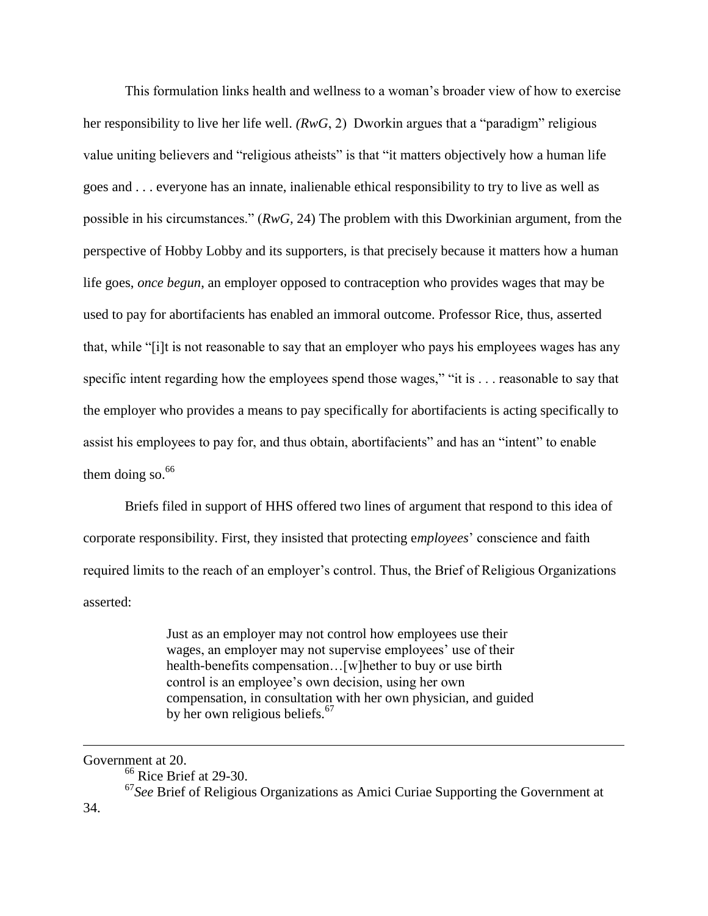This formulation links health and wellness to a woman's broader view of how to exercise her responsibility to live her life well. *(RwG*, 2) Dworkin argues that a "paradigm" religious value uniting believers and "religious atheists" is that "it matters objectively how a human life goes and . . . everyone has an innate, inalienable ethical responsibility to try to live as well as possible in his circumstances." (*RwG,* 24) The problem with this Dworkinian argument, from the perspective of Hobby Lobby and its supporters, is that precisely because it matters how a human life goes, *once begun*, an employer opposed to contraception who provides wages that may be used to pay for abortifacients has enabled an immoral outcome. Professor Rice, thus, asserted that, while "[i]t is not reasonable to say that an employer who pays his employees wages has any specific intent regarding how the employees spend those wages," "it is . . . reasonable to say that the employer who provides a means to pay specifically for abortifacients is acting specifically to assist his employees to pay for, and thus obtain, abortifacients" and has an "intent" to enable them doing so. $66$ 

Briefs filed in support of HHS offered two lines of argument that respond to this idea of corporate responsibility. First, they insisted that protecting e*mployees*' conscience and faith required limits to the reach of an employer's control. Thus, the Brief of Religious Organizations asserted:

> Just as an employer may not control how employees use their wages, an employer may not supervise employees' use of their health-benefits compensation…[w]hether to buy or use birth control is an employee's own decision, using her own compensation, in consultation with her own physician, and guided by her own religious beliefs.<sup>67</sup>

#### Government at 20.

 $\overline{a}$ 

34.

 $66$  Rice Brief at 29-30.

<sup>67</sup>*See* Brief of Religious Organizations as Amici Curiae Supporting the Government at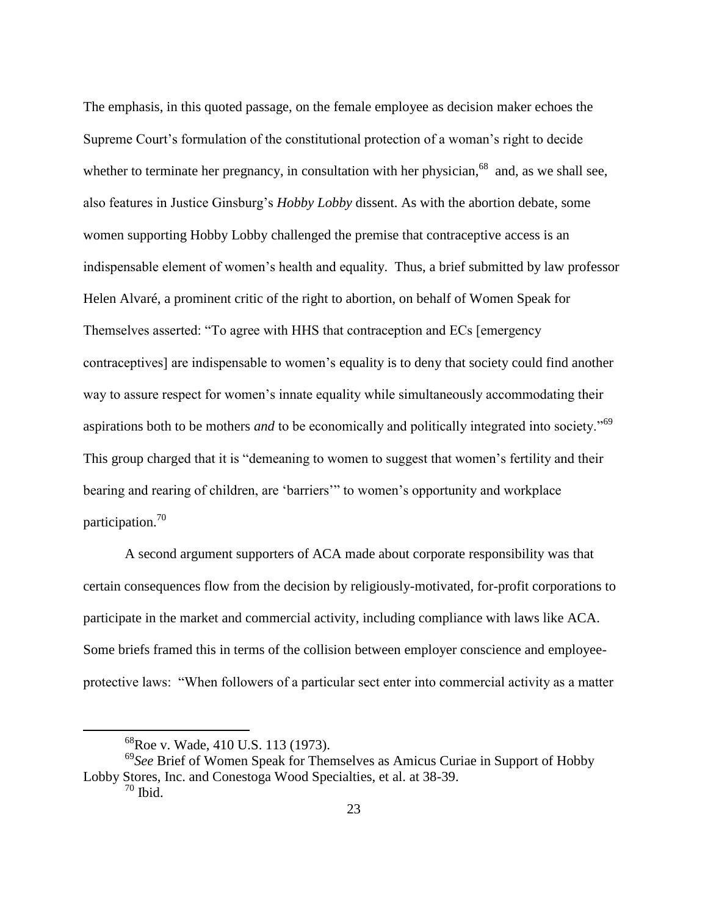The emphasis, in this quoted passage, on the female employee as decision maker echoes the Supreme Court's formulation of the constitutional protection of a woman's right to decide whether to terminate her pregnancy, in consultation with her physician, <sup>68</sup> and, as we shall see, also features in Justice Ginsburg's *Hobby Lobby* dissent. As with the abortion debate, some women supporting Hobby Lobby challenged the premise that contraceptive access is an indispensable element of women's health and equality. Thus, a brief submitted by law professor Helen Alvaré, a prominent critic of the right to abortion, on behalf of Women Speak for Themselves asserted: "To agree with HHS that contraception and ECs [emergency contraceptives] are indispensable to women's equality is to deny that society could find another way to assure respect for women's innate equality while simultaneously accommodating their aspirations both to be mothers *and* to be economically and politically integrated into society."<sup>69</sup> This group charged that it is "demeaning to women to suggest that women's fertility and their bearing and rearing of children, are 'barriers'" to women's opportunity and workplace participation.<sup>70</sup>

A second argument supporters of ACA made about corporate responsibility was that certain consequences flow from the decision by religiously-motivated, for-profit corporations to participate in the market and commercial activity, including compliance with laws like ACA. Some briefs framed this in terms of the collision between employer conscience and employeeprotective laws: "When followers of a particular sect enter into commercial activity as a matter

<sup>&</sup>lt;sup>68</sup>Roe v. Wade, 410 U.S. 113 (1973).

<sup>69</sup>*See* Brief of Women Speak for Themselves as Amicus Curiae in Support of Hobby Lobby Stores, Inc. and Conestoga Wood Specialties, et al. at 38-39.  $70$  Ibid.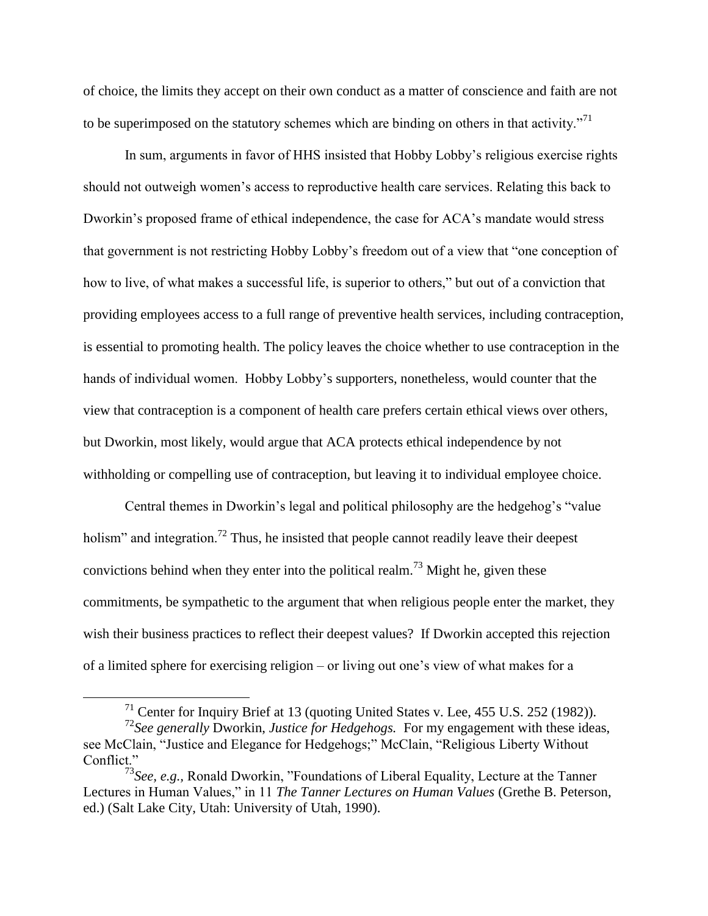of choice, the limits they accept on their own conduct as a matter of conscience and faith are not to be superimposed on the statutory schemes which are binding on others in that activity. $171$ 

In sum, arguments in favor of HHS insisted that Hobby Lobby's religious exercise rights should not outweigh women's access to reproductive health care services. Relating this back to Dworkin's proposed frame of ethical independence, the case for ACA's mandate would stress that government is not restricting Hobby Lobby's freedom out of a view that "one conception of how to live, of what makes a successful life, is superior to others," but out of a conviction that providing employees access to a full range of preventive health services, including contraception, is essential to promoting health. The policy leaves the choice whether to use contraception in the hands of individual women. Hobby Lobby's supporters, nonetheless, would counter that the view that contraception is a component of health care prefers certain ethical views over others, but Dworkin, most likely, would argue that ACA protects ethical independence by not withholding or compelling use of contraception, but leaving it to individual employee choice.

Central themes in Dworkin's legal and political philosophy are the hedgehog's "value holism" and integration.<sup>72</sup> Thus, he insisted that people cannot readily leave their deepest convictions behind when they enter into the political realm.<sup>73</sup> Might he, given these commitments, be sympathetic to the argument that when religious people enter the market, they wish their business practices to reflect their deepest values? If Dworkin accepted this rejection of a limited sphere for exercising religion – or living out one's view of what makes for a

<sup>71</sup> Center for Inquiry Brief at 13 (quoting United States v. Lee, 455 U.S. 252 (1982)).

<sup>72</sup>*See generally* Dworkin, *Justice for Hedgehogs.* For my engagement with these ideas, see McClain, "Justice and Elegance for Hedgehogs;" McClain, "Religious Liberty Without Conflict."

<sup>73</sup>*See, e.g.,* Ronald Dworkin, "Foundations of Liberal Equality, Lecture at the Tanner Lectures in Human Values," in 11 *The Tanner Lectures on Human Values* (Grethe B. Peterson, ed.) (Salt Lake City, Utah: University of Utah, 1990).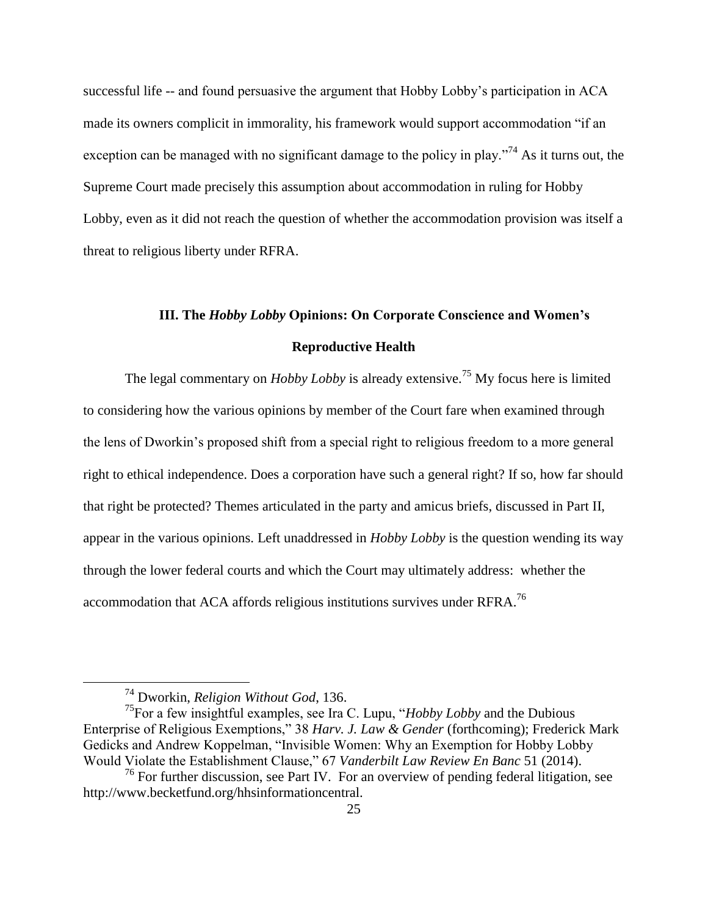successful life -- and found persuasive the argument that Hobby Lobby's participation in ACA made its owners complicit in immorality, his framework would support accommodation "if an exception can be managed with no significant damage to the policy in play."<sup>74</sup> As it turns out, the Supreme Court made precisely this assumption about accommodation in ruling for Hobby Lobby, even as it did not reach the question of whether the accommodation provision was itself a threat to religious liberty under RFRA.

# **III. The** *Hobby Lobby* **Opinions: On Corporate Conscience and Women's Reproductive Health**

The legal commentary on *Hobby Lobby* is already extensive.<sup>75</sup> My focus here is limited to considering how the various opinions by member of the Court fare when examined through the lens of Dworkin's proposed shift from a special right to religious freedom to a more general right to ethical independence. Does a corporation have such a general right? If so, how far should that right be protected? Themes articulated in the party and amicus briefs, discussed in Part II, appear in the various opinions. Left unaddressed in *Hobby Lobby* is the question wending its way through the lower federal courts and which the Court may ultimately address: whether the accommodation that ACA affords religious institutions survives under RFRA.<sup>76</sup>

<sup>74</sup> Dworkin, *Religion Without God*, 136.

<sup>75</sup>For a few insightful examples, see Ira C. Lupu, "*Hobby Lobby* and the Dubious Enterprise of Religious Exemptions," 38 *Harv. J. Law & Gender* (forthcoming); Frederick Mark Gedicks and Andrew Koppelman, "Invisible Women: Why an Exemption for Hobby Lobby Would Violate the Establishment Clause," 67 *Vanderbilt Law Review En Banc* 51 (2014).

 $76$  For further discussion, see Part IV. For an overview of pending federal litigation, see http://www.becketfund.org/hhsinformationcentral.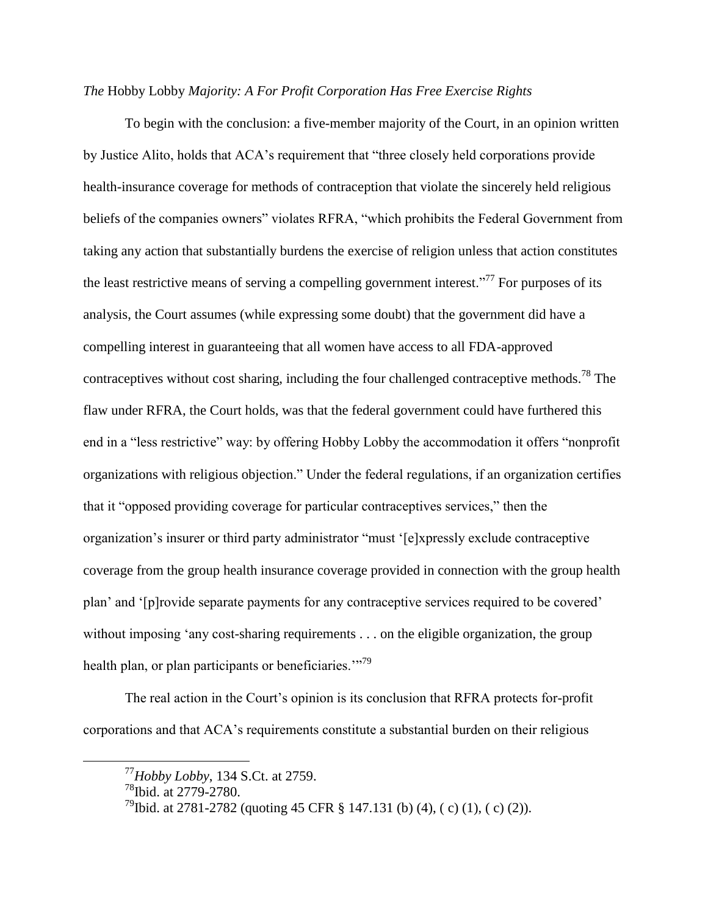#### *The* Hobby Lobby *Majority: A For Profit Corporation Has Free Exercise Rights*

To begin with the conclusion: a five-member majority of the Court, in an opinion written by Justice Alito, holds that ACA's requirement that "three closely held corporations provide health-insurance coverage for methods of contraception that violate the sincerely held religious beliefs of the companies owners" violates RFRA, "which prohibits the Federal Government from taking any action that substantially burdens the exercise of religion unless that action constitutes the least restrictive means of serving a compelling government interest.<sup> $277$ </sup> For purposes of its analysis, the Court assumes (while expressing some doubt) that the government did have a compelling interest in guaranteeing that all women have access to all FDA-approved contraceptives without cost sharing, including the four challenged contraceptive methods.<sup>78</sup> The flaw under RFRA, the Court holds, was that the federal government could have furthered this end in a "less restrictive" way: by offering Hobby Lobby the accommodation it offers "nonprofit organizations with religious objection." Under the federal regulations, if an organization certifies that it "opposed providing coverage for particular contraceptives services," then the organization's insurer or third party administrator "must '[e]xpressly exclude contraceptive coverage from the group health insurance coverage provided in connection with the group health plan' and '[p]rovide separate payments for any contraceptive services required to be covered' without imposing 'any cost-sharing requirements . . . on the eligible organization, the group health plan, or plan participants or beneficiaries."<sup>79</sup>

The real action in the Court's opinion is its conclusion that RFRA protects for-profit corporations and that ACA's requirements constitute a substantial burden on their religious

<sup>77</sup>*Hobby Lobby*, 134 S.Ct. at 2759.

<sup>&</sup>lt;sup>78</sup>Ibid. at 2779-2780.

<sup>&</sup>lt;sup>79</sup>Ibid. at 2781-2782 (quoting 45 CFR § 147.131 (b) (4), (c) (1), (c) (2)).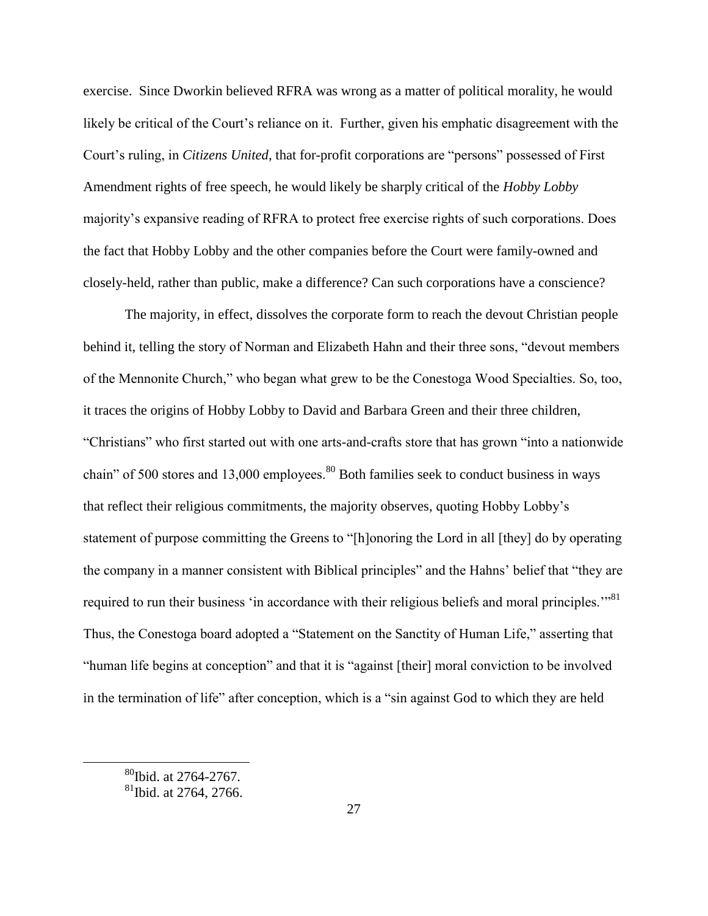exercise. Since Dworkin believed RFRA was wrong as a matter of political morality, he would likely be critical of the Court's reliance on it. Further, given his emphatic disagreement with the Court's ruling, in *Citizens United*, that for-profit corporations are "persons" possessed of First Amendment rights of free speech, he would likely be sharply critical of the *Hobby Lobby* majority's expansive reading of RFRA to protect free exercise rights of such corporations. Does the fact that Hobby Lobby and the other companies before the Court were family-owned and closely-held, rather than public, make a difference? Can such corporations have a conscience?

The majority, in effect, dissolves the corporate form to reach the devout Christian people behind it, telling the story of Norman and Elizabeth Hahn and their three sons, "devout members of the Mennonite Church," who began what grew to be the Conestoga Wood Specialties. So, too, it traces the origins of Hobby Lobby to David and Barbara Green and their three children, "Christians" who first started out with one arts-and-crafts store that has grown "into a nationwide chain" of 500 stores and 13,000 employees. $80$  Both families seek to conduct business in ways that reflect their religious commitments, the majority observes, quoting Hobby Lobby's statement of purpose committing the Greens to "[h]onoring the Lord in all [they] do by operating the company in a manner consistent with Biblical principles" and the Hahns' belief that "they are required to run their business 'in accordance with their religious beliefs and moral principles.'"<sup>81</sup> Thus, the Conestoga board adopted a "Statement on the Sanctity of Human Life," asserting that "human life begins at conception" and that it is "against [their] moral conviction to be involved in the termination of life" after conception, which is a "sin against God to which they are held

<sup>80</sup>Ibid. at 2764-2767.

 $81$ Ibid. at 2764, 2766.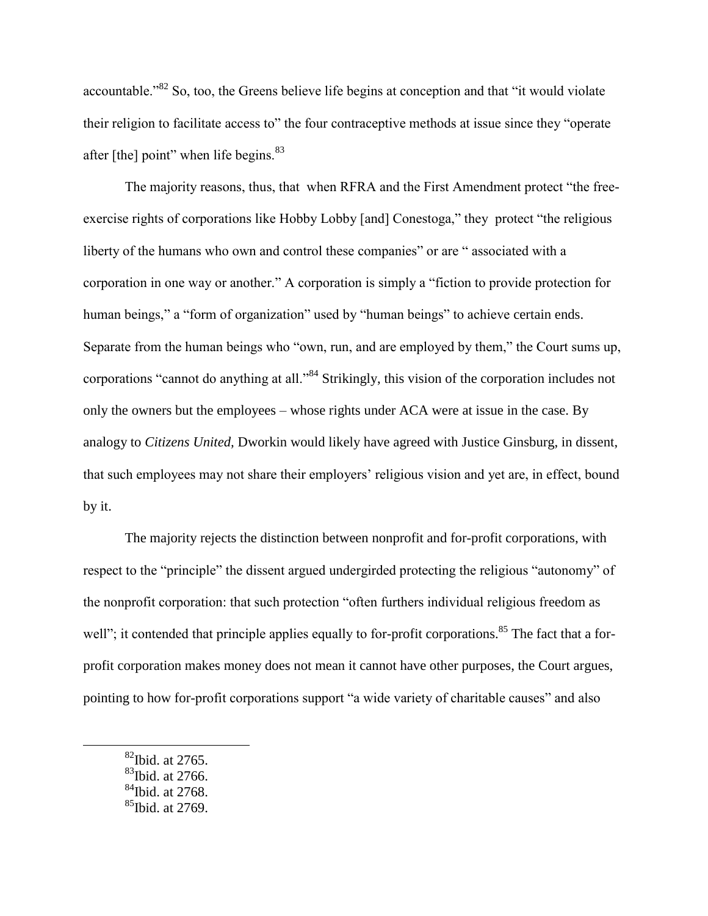accountable."<sup>82</sup> So, too, the Greens believe life begins at conception and that "it would violate their religion to facilitate access to" the four contraceptive methods at issue since they "operate after [the] point" when life begins. $83$ 

The majority reasons, thus, that when RFRA and the First Amendment protect "the freeexercise rights of corporations like Hobby Lobby [and] Conestoga," they protect "the religious liberty of the humans who own and control these companies" or are " associated with a corporation in one way or another." A corporation is simply a "fiction to provide protection for human beings," a "form of organization" used by "human beings" to achieve certain ends. Separate from the human beings who "own, run, and are employed by them," the Court sums up, corporations "cannot do anything at all."<sup>84</sup> Strikingly, this vision of the corporation includes not only the owners but the employees – whose rights under ACA were at issue in the case. By analogy to *Citizens United,* Dworkin would likely have agreed with Justice Ginsburg, in dissent, that such employees may not share their employers' religious vision and yet are, in effect, bound by it.

The majority rejects the distinction between nonprofit and for-profit corporations, with respect to the "principle" the dissent argued undergirded protecting the religious "autonomy" of the nonprofit corporation: that such protection "often furthers individual religious freedom as well"; it contended that principle applies equally to for-profit corporations.<sup>85</sup> The fact that a forprofit corporation makes money does not mean it cannot have other purposes, the Court argues, pointing to how for-profit corporations support "a wide variety of charitable causes" and also

<sup>82</sup>Ibid. at 2765.

<sup>&</sup>lt;sup>83</sup>Ibid. at 2766.

<sup>&</sup>lt;sup>84</sup>Ibid. at 2768.

 $85$ Ibid. at 2769.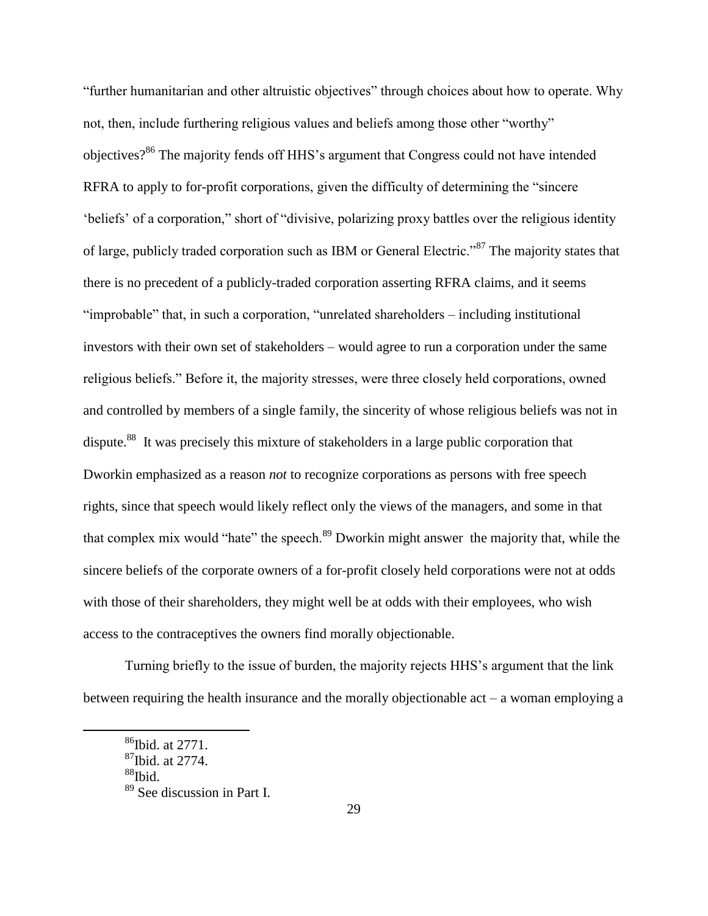"further humanitarian and other altruistic objectives" through choices about how to operate. Why not, then, include furthering religious values and beliefs among those other "worthy" objectives?<sup>86</sup> The majority fends off HHS's argument that Congress could not have intended RFRA to apply to for-profit corporations, given the difficulty of determining the "sincere 'beliefs' of a corporation," short of "divisive, polarizing proxy battles over the religious identity of large, publicly traded corporation such as IBM or General Electric."<sup>87</sup> The majority states that there is no precedent of a publicly-traded corporation asserting RFRA claims, and it seems "improbable" that, in such a corporation, "unrelated shareholders – including institutional investors with their own set of stakeholders – would agree to run a corporation under the same religious beliefs." Before it, the majority stresses, were three closely held corporations, owned and controlled by members of a single family, the sincerity of whose religious beliefs was not in dispute.<sup>88</sup> It was precisely this mixture of stakeholders in a large public corporation that Dworkin emphasized as a reason *not* to recognize corporations as persons with free speech rights, since that speech would likely reflect only the views of the managers, and some in that that complex mix would "hate" the speech.<sup>89</sup> Dworkin might answer the majority that, while the sincere beliefs of the corporate owners of a for-profit closely held corporations were not at odds with those of their shareholders, they might well be at odds with their employees, who wish access to the contraceptives the owners find morally objectionable.

Turning briefly to the issue of burden, the majority rejects HHS's argument that the link between requiring the health insurance and the morally objectionable act – a woman employing a

<sup>&</sup>lt;sup>86</sup>Ibid. at 2771.

<sup>87</sup>Ibid. at 2774.

 $88$ Ibid.

<sup>89</sup> See discussion in Part I.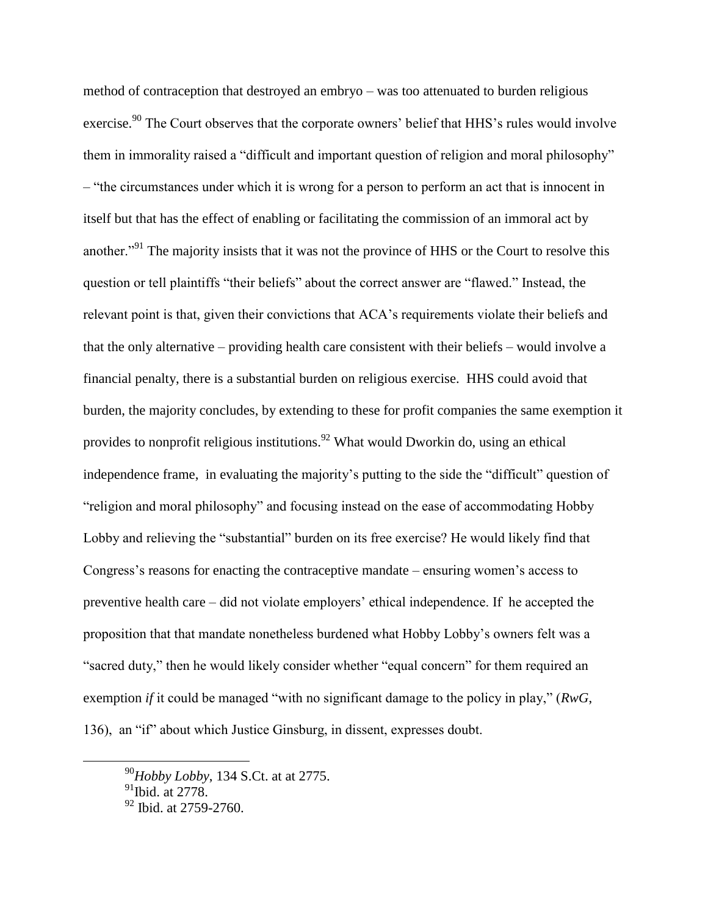method of contraception that destroyed an embryo – was too attenuated to burden religious exercise.<sup>90</sup> The Court observes that the corporate owners' belief that HHS's rules would involve them in immorality raised a "difficult and important question of religion and moral philosophy" – "the circumstances under which it is wrong for a person to perform an act that is innocent in itself but that has the effect of enabling or facilitating the commission of an immoral act by another."<sup>91</sup> The majority insists that it was not the province of HHS or the Court to resolve this question or tell plaintiffs "their beliefs" about the correct answer are "flawed." Instead, the relevant point is that, given their convictions that ACA's requirements violate their beliefs and that the only alternative – providing health care consistent with their beliefs – would involve a financial penalty, there is a substantial burden on religious exercise. HHS could avoid that burden, the majority concludes, by extending to these for profit companies the same exemption it provides to nonprofit religious institutions.<sup>92</sup> What would Dworkin do, using an ethical independence frame, in evaluating the majority's putting to the side the "difficult" question of "religion and moral philosophy" and focusing instead on the ease of accommodating Hobby Lobby and relieving the "substantial" burden on its free exercise? He would likely find that Congress's reasons for enacting the contraceptive mandate – ensuring women's access to preventive health care – did not violate employers' ethical independence. If he accepted the proposition that that mandate nonetheless burdened what Hobby Lobby's owners felt was a "sacred duty," then he would likely consider whether "equal concern" for them required an exemption *if* it could be managed "with no significant damage to the policy in play," (*RwG*, 136), an "if" about which Justice Ginsburg, in dissent, expresses doubt.

<sup>90</sup>*Hobby Lobby*, 134 S.Ct. at at 2775.

 $91$ Ibid. at 2778.

 $92$  Ibid. at 2759-2760.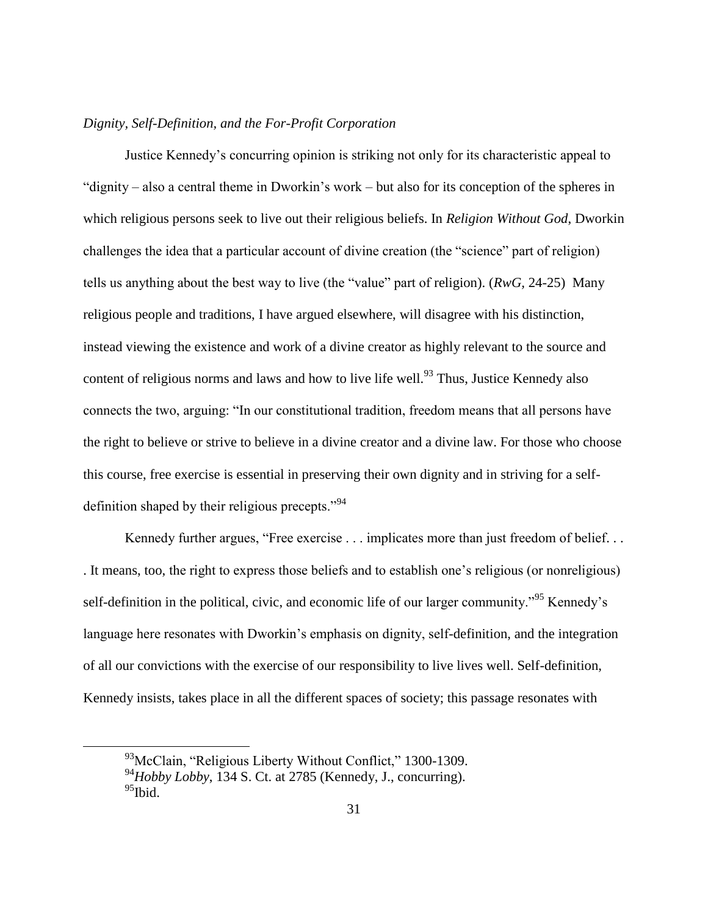#### *Dignity, Self-Definition, and the For-Profit Corporation*

Justice Kennedy's concurring opinion is striking not only for its characteristic appeal to "dignity – also a central theme in Dworkin's work – but also for its conception of the spheres in which religious persons seek to live out their religious beliefs. In *Religion Without God*, Dworkin challenges the idea that a particular account of divine creation (the "science" part of religion) tells us anything about the best way to live (the "value" part of religion). (*RwG,* 24-25) Many religious people and traditions, I have argued elsewhere, will disagree with his distinction, instead viewing the existence and work of a divine creator as highly relevant to the source and content of religious norms and laws and how to live life well.<sup>93</sup> Thus, Justice Kennedy also connects the two, arguing: "In our constitutional tradition, freedom means that all persons have the right to believe or strive to believe in a divine creator and a divine law. For those who choose this course, free exercise is essential in preserving their own dignity and in striving for a selfdefinition shaped by their religious precepts."<sup>94</sup>

Kennedy further argues, "Free exercise . . . implicates more than just freedom of belief. . . . It means, too, the right to express those beliefs and to establish one's religious (or nonreligious) self-definition in the political, civic, and economic life of our larger community."<sup>95</sup> Kennedy's language here resonates with Dworkin's emphasis on dignity, self-definition, and the integration of all our convictions with the exercise of our responsibility to live lives well. Self-definition, Kennedy insists, takes place in all the different spaces of society; this passage resonates with

<sup>&</sup>lt;sup>93</sup>McClain, "Religious Liberty Without Conflict," 1300-1309. <sup>94</sup>*Hobby Lobby*, 134 S. Ct. at 2785 (Kennedy, J., concurring).  $95$ Ibid.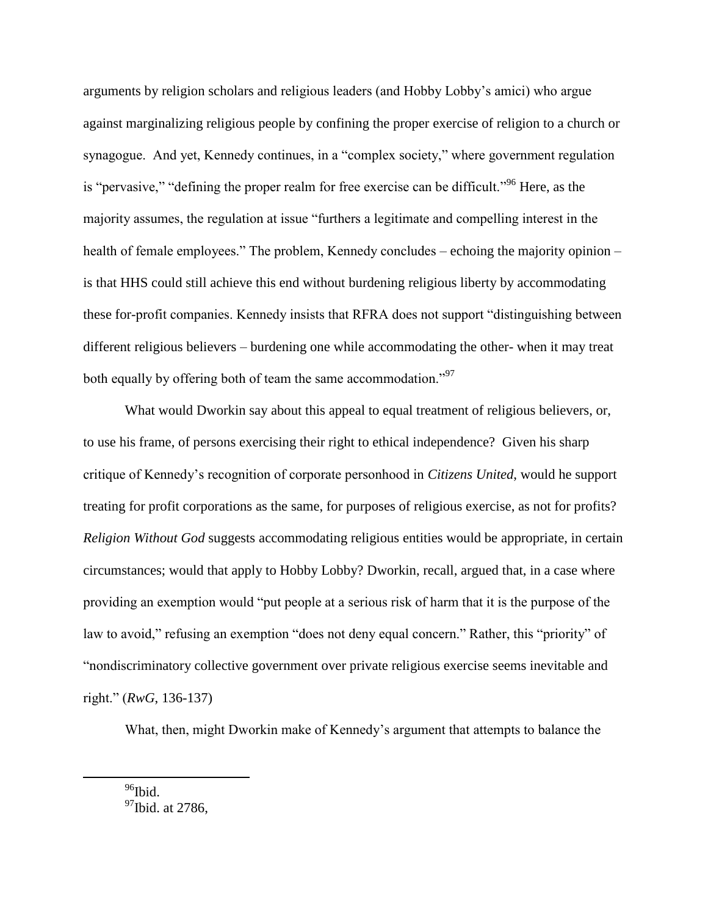arguments by religion scholars and religious leaders (and Hobby Lobby's amici) who argue against marginalizing religious people by confining the proper exercise of religion to a church or synagogue. And yet, Kennedy continues, in a "complex society," where government regulation is "pervasive," "defining the proper realm for free exercise can be difficult."<sup>96</sup> Here, as the majority assumes, the regulation at issue "furthers a legitimate and compelling interest in the health of female employees." The problem, Kennedy concludes – echoing the majority opinion – is that HHS could still achieve this end without burdening religious liberty by accommodating these for-profit companies. Kennedy insists that RFRA does not support "distinguishing between different religious believers – burdening one while accommodating the other- when it may treat both equally by offering both of team the same accommodation."<sup>97</sup>

What would Dworkin say about this appeal to equal treatment of religious believers, or, to use his frame, of persons exercising their right to ethical independence? Given his sharp critique of Kennedy's recognition of corporate personhood in *Citizens United*, would he support treating for profit corporations as the same, for purposes of religious exercise, as not for profits? *Religion Without God* suggests accommodating religious entities would be appropriate, in certain circumstances; would that apply to Hobby Lobby? Dworkin, recall, argued that, in a case where providing an exemption would "put people at a serious risk of harm that it is the purpose of the law to avoid," refusing an exemption "does not deny equal concern." Rather, this "priority" of "nondiscriminatory collective government over private religious exercise seems inevitable and right." (*RwG*, 136-137)

What, then, might Dworkin make of Kennedy's argument that attempts to balance the

 $96$ Ibid.  $97$ Ibid. at 2786.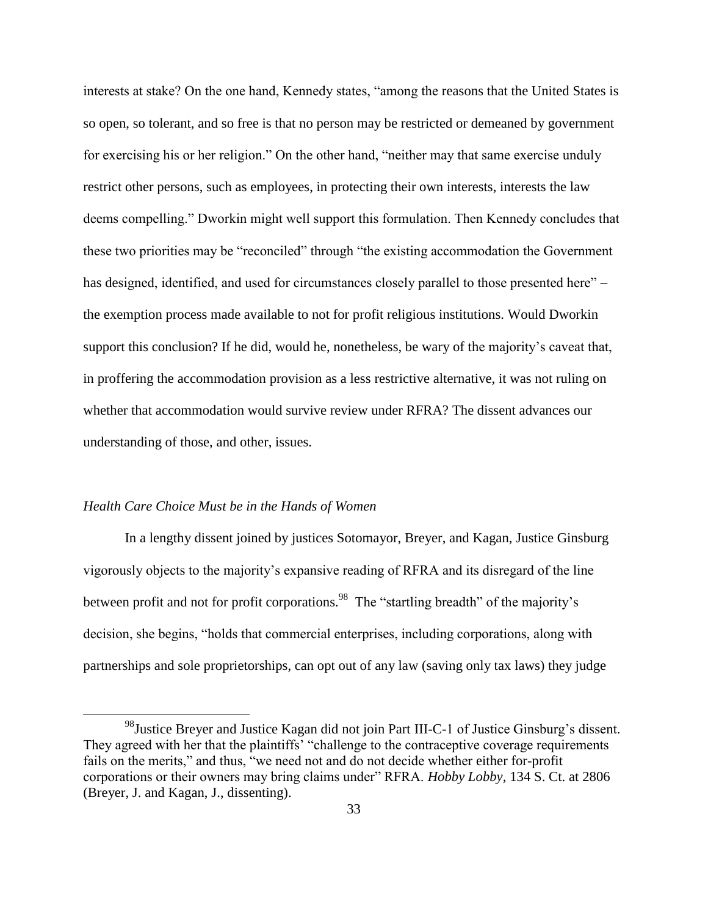interests at stake? On the one hand, Kennedy states, "among the reasons that the United States is so open, so tolerant, and so free is that no person may be restricted or demeaned by government for exercising his or her religion." On the other hand, "neither may that same exercise unduly restrict other persons, such as employees, in protecting their own interests, interests the law deems compelling." Dworkin might well support this formulation. Then Kennedy concludes that these two priorities may be "reconciled" through "the existing accommodation the Government has designed, identified, and used for circumstances closely parallel to those presented here" – the exemption process made available to not for profit religious institutions. Would Dworkin support this conclusion? If he did, would he, nonetheless, be wary of the majority's caveat that, in proffering the accommodation provision as a less restrictive alternative, it was not ruling on whether that accommodation would survive review under RFRA? The dissent advances our understanding of those, and other, issues.

#### *Health Care Choice Must be in the Hands of Women*

 $\overline{a}$ 

In a lengthy dissent joined by justices Sotomayor, Breyer, and Kagan, Justice Ginsburg vigorously objects to the majority's expansive reading of RFRA and its disregard of the line between profit and not for profit corporations.<sup>98</sup> The "startling breadth" of the majority's decision, she begins, "holds that commercial enterprises, including corporations, along with partnerships and sole proprietorships, can opt out of any law (saving only tax laws) they judge

<sup>98</sup>Justice Breyer and Justice Kagan did not join Part III-C-1 of Justice Ginsburg's dissent. They agreed with her that the plaintiffs' "challenge to the contraceptive coverage requirements fails on the merits," and thus, "we need not and do not decide whether either for-profit corporations or their owners may bring claims under" RFRA. *Hobby Lobby*, 134 S. Ct. at 2806 (Breyer, J. and Kagan, J., dissenting).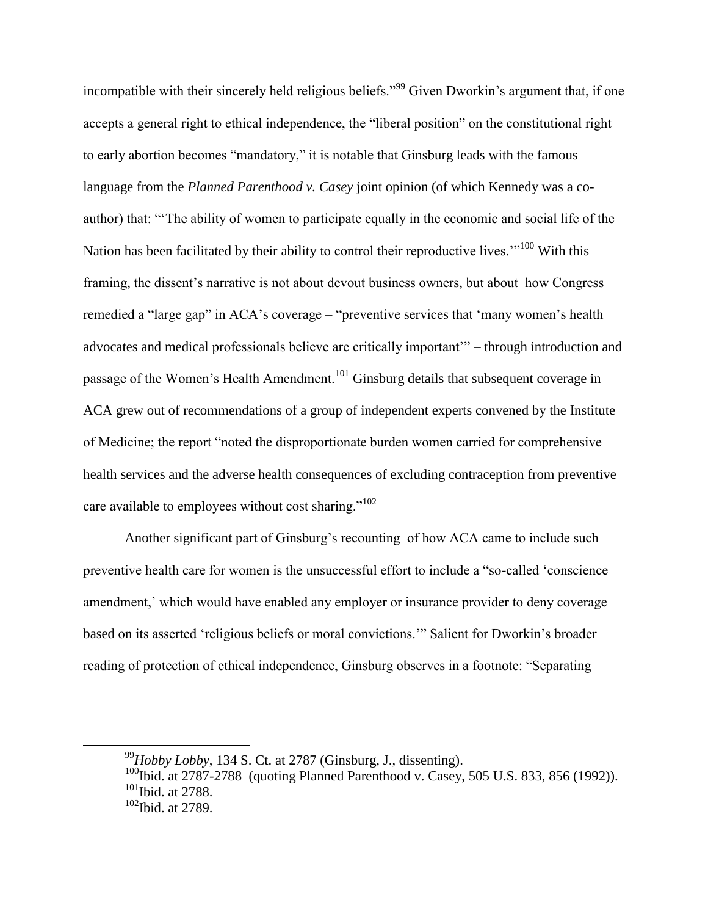incompatible with their sincerely held religious beliefs."<sup>99</sup> Given Dworkin's argument that, if one accepts a general right to ethical independence, the "liberal position" on the constitutional right to early abortion becomes "mandatory," it is notable that Ginsburg leads with the famous language from the *Planned Parenthood v. Casey* joint opinion (of which Kennedy was a coauthor) that: "'The ability of women to participate equally in the economic and social life of the Nation has been facilitated by their ability to control their reproductive lives."<sup>100</sup> With this framing, the dissent's narrative is not about devout business owners, but about how Congress remedied a "large gap" in ACA's coverage – "preventive services that 'many women's health advocates and medical professionals believe are critically important'" – through introduction and passage of the Women's Health Amendment.<sup>101</sup> Ginsburg details that subsequent coverage in ACA grew out of recommendations of a group of independent experts convened by the Institute of Medicine; the report "noted the disproportionate burden women carried for comprehensive health services and the adverse health consequences of excluding contraception from preventive care available to employees without cost sharing."<sup>102</sup>

Another significant part of Ginsburg's recounting of how ACA came to include such preventive health care for women is the unsuccessful effort to include a "so-called 'conscience amendment,' which would have enabled any employer or insurance provider to deny coverage based on its asserted 'religious beliefs or moral convictions.'" Salient for Dworkin's broader reading of protection of ethical independence, Ginsburg observes in a footnote: "Separating

<sup>99</sup>*Hobby Lobby*, 134 S. Ct. at 2787 (Ginsburg, J., dissenting).

<sup>&</sup>lt;sup>100</sup>Ibid. at 2787-2788 (quoting Planned Parenthood v. Casey, 505 U.S. 833, 856 (1992)).  $101$  Ibid. at 2788.

 $102$ Ibid. at 2789.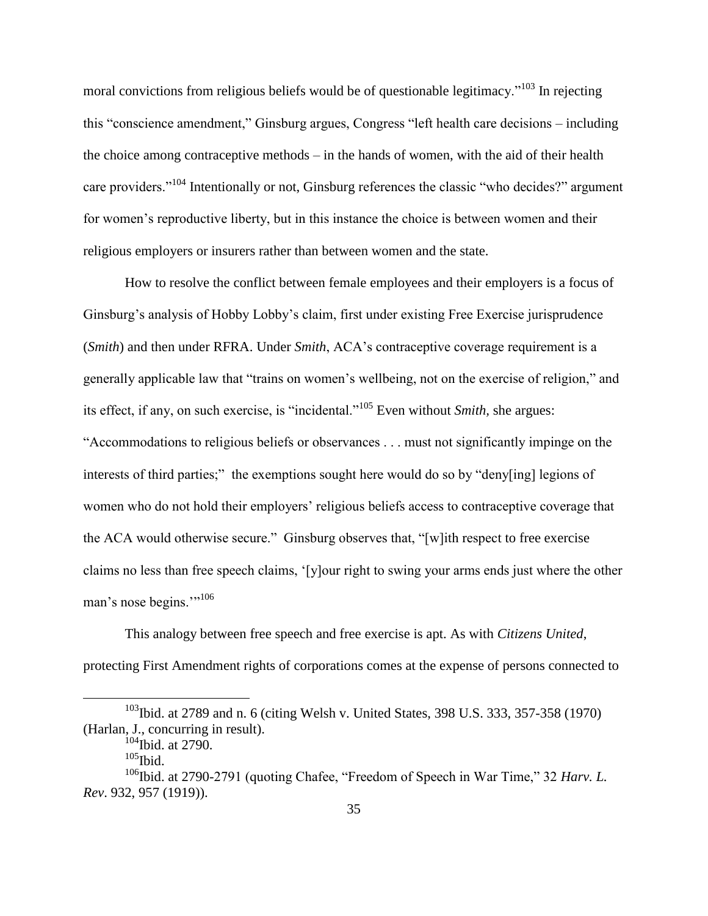moral convictions from religious beliefs would be of questionable legitimacy.<sup>"103</sup> In rejecting this "conscience amendment," Ginsburg argues, Congress "left health care decisions – including the choice among contraceptive methods – in the hands of women, with the aid of their health care providers."<sup>104</sup> Intentionally or not, Ginsburg references the classic "who decides?" argument for women's reproductive liberty, but in this instance the choice is between women and their religious employers or insurers rather than between women and the state.

How to resolve the conflict between female employees and their employers is a focus of Ginsburg's analysis of Hobby Lobby's claim, first under existing Free Exercise jurisprudence (*Smith*) and then under RFRA. Under *Smith*, ACA's contraceptive coverage requirement is a generally applicable law that "trains on women's wellbeing, not on the exercise of religion," and its effect, if any, on such exercise, is "incidental."<sup>105</sup> Even without *Smith,* she argues: "Accommodations to religious beliefs or observances . . . must not significantly impinge on the interests of third parties;" the exemptions sought here would do so by "deny[ing] legions of women who do not hold their employers' religious beliefs access to contraceptive coverage that the ACA would otherwise secure." Ginsburg observes that, "[w]ith respect to free exercise claims no less than free speech claims, '[y]our right to swing your arms ends just where the other man's nose begins."<sup>106</sup>

This analogy between free speech and free exercise is apt. As with *Citizens United*, protecting First Amendment rights of corporations comes at the expense of persons connected to

 $103$  Ibid. at 2789 and n. 6 (citing Welsh v. United States, 398 U.S. 333, 357-358 (1970) (Harlan, J., concurring in result).

 $104$ Ibid. at 2790.

 $105$ Ibid.

<sup>&</sup>lt;sup>106</sup>Ibid. at 2790-2791 (quoting Chafee, "Freedom of Speech in War Time," 32 *Harv. L. Rev*. 932, 957 (1919)).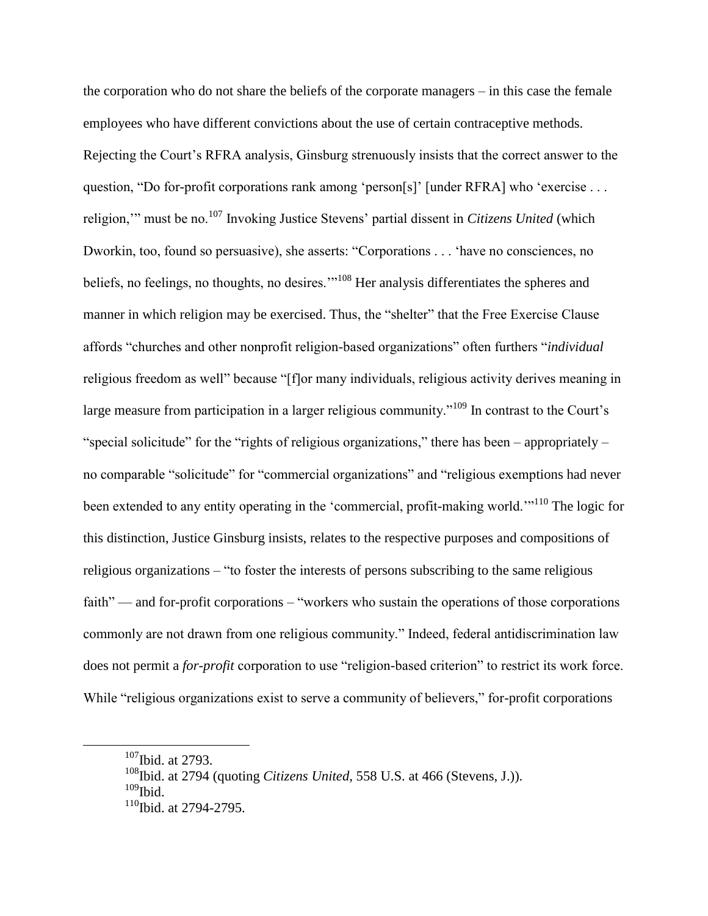the corporation who do not share the beliefs of the corporate managers – in this case the female employees who have different convictions about the use of certain contraceptive methods. Rejecting the Court's RFRA analysis, Ginsburg strenuously insists that the correct answer to the question, "Do for-profit corporations rank among 'person[s]' [under RFRA] who 'exercise . . . religion,'" must be no.<sup>107</sup> Invoking Justice Stevens' partial dissent in *Citizens United* (which Dworkin, too, found so persuasive), she asserts: "Corporations . . . 'have no consciences, no beliefs, no feelings, no thoughts, no desires.<sup>'"108</sup> Her analysis differentiates the spheres and manner in which religion may be exercised. Thus, the "shelter" that the Free Exercise Clause affords "churches and other nonprofit religion-based organizations" often furthers "*individual* religious freedom as well" because "[f]or many individuals, religious activity derives meaning in large measure from participation in a larger religious community."<sup>109</sup> In contrast to the Court's "special solicitude" for the "rights of religious organizations," there has been – appropriately – no comparable "solicitude" for "commercial organizations" and "religious exemptions had never been extended to any entity operating in the 'commercial, profit-making world.'"<sup>110</sup> The logic for this distinction, Justice Ginsburg insists, relates to the respective purposes and compositions of religious organizations – "to foster the interests of persons subscribing to the same religious faith" — and for-profit corporations – "workers who sustain the operations of those corporations commonly are not drawn from one religious community." Indeed, federal antidiscrimination law does not permit a *for-profit* corporation to use "religion-based criterion" to restrict its work force. While "religious organizations exist to serve a community of believers," for-profit corporations

<sup>&</sup>lt;sup>107</sup>Ibid. at 2793.

<sup>&</sup>lt;sup>108</sup>Ibid. at 2794 (quoting *Citizens United*, 558 U.S. at 466 (Stevens, J.)).  $109$ Ibid.  $110$ Ibid. at 2794-2795.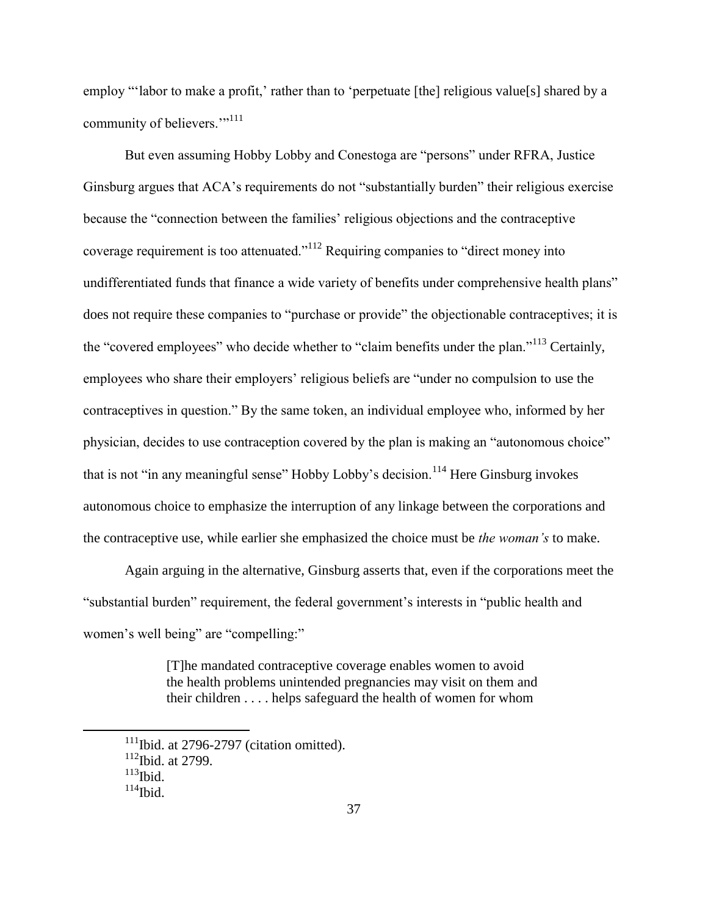employ "'labor to make a profit,' rather than to 'perpetuate [the] religious value[s] shared by a community of believers."<sup>111</sup>

But even assuming Hobby Lobby and Conestoga are "persons" under RFRA, Justice Ginsburg argues that ACA's requirements do not "substantially burden" their religious exercise because the "connection between the families' religious objections and the contraceptive coverage requirement is too attenuated."<sup>112</sup> Requiring companies to "direct money into undifferentiated funds that finance a wide variety of benefits under comprehensive health plans" does not require these companies to "purchase or provide" the objectionable contraceptives; it is the "covered employees" who decide whether to "claim benefits under the plan."<sup>113</sup> Certainly, employees who share their employers' religious beliefs are "under no compulsion to use the contraceptives in question." By the same token, an individual employee who, informed by her physician, decides to use contraception covered by the plan is making an "autonomous choice" that is not "in any meaningful sense" Hobby Lobby's decision.<sup>114</sup> Here Ginsburg invokes autonomous choice to emphasize the interruption of any linkage between the corporations and the contraceptive use, while earlier she emphasized the choice must be *the woman's* to make.

Again arguing in the alternative, Ginsburg asserts that, even if the corporations meet the "substantial burden" requirement, the federal government's interests in "public health and women's well being" are "compelling:"

> [T]he mandated contraceptive coverage enables women to avoid the health problems unintended pregnancies may visit on them and their children . . . . helps safeguard the health of women for whom

 $111$ Ibid. at 2796-2797 (citation omitted).

<sup>&</sup>lt;sup>112</sup>Ibid. at 2799.

 $113$ Ibid.

 $114$ Thid.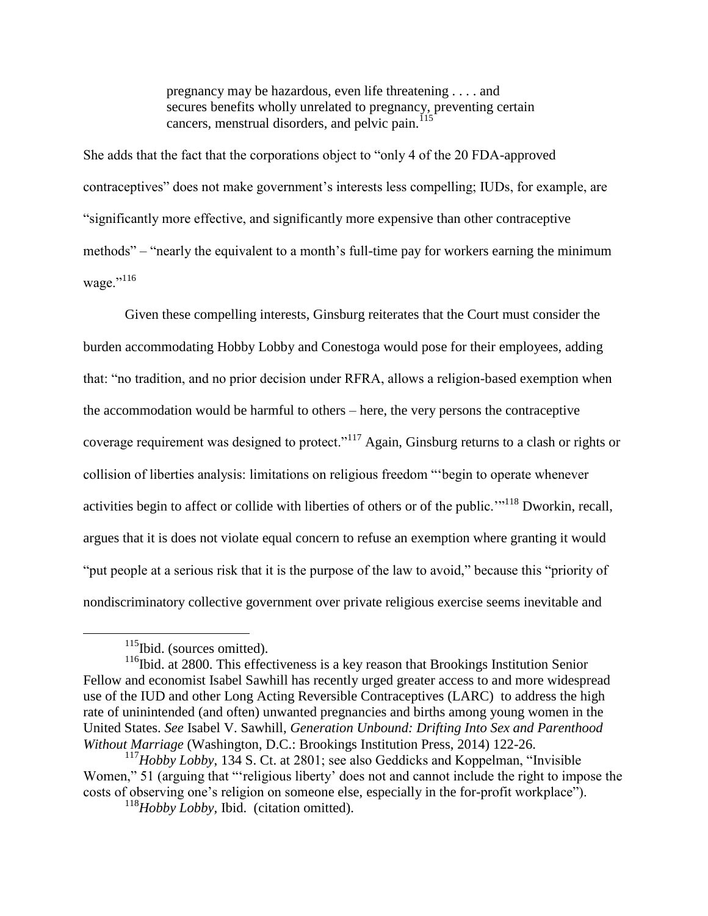pregnancy may be hazardous, even life threatening . . . . and secures benefits wholly unrelated to pregnancy, preventing certain cancers, menstrual disorders, and pelvic pain.<sup>1</sup>

She adds that the fact that the corporations object to "only 4 of the 20 FDA-approved contraceptives" does not make government's interests less compelling; IUDs, for example, are "significantly more effective, and significantly more expensive than other contraceptive methods" – "nearly the equivalent to a month's full-time pay for workers earning the minimum wage." $^{116}$ 

Given these compelling interests, Ginsburg reiterates that the Court must consider the burden accommodating Hobby Lobby and Conestoga would pose for their employees, adding that: "no tradition, and no prior decision under RFRA, allows a religion-based exemption when the accommodation would be harmful to others – here, the very persons the contraceptive coverage requirement was designed to protect."<sup>117</sup> Again, Ginsburg returns to a clash or rights or collision of liberties analysis: limitations on religious freedom "'begin to operate whenever activities begin to affect or collide with liberties of others or of the public.'"<sup>118</sup> Dworkin, recall, argues that it is does not violate equal concern to refuse an exemption where granting it would "put people at a serious risk that it is the purpose of the law to avoid," because this "priority of nondiscriminatory collective government over private religious exercise seems inevitable and

<sup>&</sup>lt;sup>115</sup>Ibid. (sources omitted).

 $116$ Ibid. at 2800. This effectiveness is a key reason that Brookings Institution Senior Fellow and economist Isabel Sawhill has recently urged greater access to and more widespread use of the IUD and other Long Acting Reversible Contraceptives (LARC) to address the high rate of uninintended (and often) unwanted pregnancies and births among young women in the United States. *See* Isabel V. Sawhill, *Generation Unbound: Drifting Into Sex and Parenthood Without Marriage* (Washington, D.C.: Brookings Institution Press, 2014) 122-26.

<sup>&</sup>lt;sup>117</sup>*Hobby Lobby*, 134 S. Ct. at 2801; see also Geddicks and Koppelman, "Invisible" Women," 51 (arguing that "'religious liberty' does not and cannot include the right to impose the costs of observing one's religion on someone else, especially in the for-profit workplace").

<sup>&</sup>lt;sup>118</sup>*Hobby Lobby, Ibid.* (citation omitted).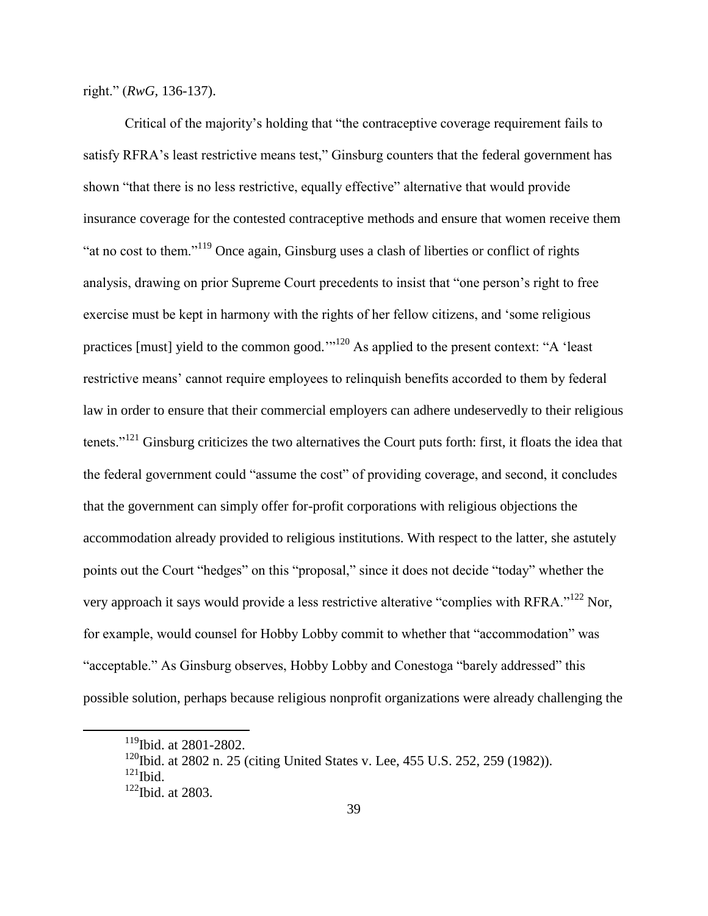right." (*RwG,* 136-137).

Critical of the majority's holding that "the contraceptive coverage requirement fails to satisfy RFRA's least restrictive means test," Ginsburg counters that the federal government has shown "that there is no less restrictive, equally effective" alternative that would provide insurance coverage for the contested contraceptive methods and ensure that women receive them "at no cost to them."<sup>119</sup> Once again, Ginsburg uses a clash of liberties or conflict of rights analysis, drawing on prior Supreme Court precedents to insist that "one person's right to free exercise must be kept in harmony with the rights of her fellow citizens, and 'some religious practices [must] yield to the common good."<sup>120</sup> As applied to the present context: "A 'least restrictive means' cannot require employees to relinquish benefits accorded to them by federal law in order to ensure that their commercial employers can adhere undeservedly to their religious tenets."<sup>121</sup> Ginsburg criticizes the two alternatives the Court puts forth: first, it floats the idea that the federal government could "assume the cost" of providing coverage, and second, it concludes that the government can simply offer for-profit corporations with religious objections the accommodation already provided to religious institutions. With respect to the latter, she astutely points out the Court "hedges" on this "proposal," since it does not decide "today" whether the very approach it says would provide a less restrictive alterative "complies with RFRA."<sup>122</sup> Nor, for example, would counsel for Hobby Lobby commit to whether that "accommodation" was "acceptable." As Ginsburg observes, Hobby Lobby and Conestoga "barely addressed" this possible solution, perhaps because religious nonprofit organizations were already challenging the

<sup>&</sup>lt;sup>119</sup>Ibid. at 2801-2802.

<sup>&</sup>lt;sup>120</sup>Ibid. at 2802 n. 25 (citing United States v. Lee, 455 U.S. 252, 259 (1982)).  $^{121}$ Ibid.

<sup>&</sup>lt;sup>122</sup>Ibid. at 2803.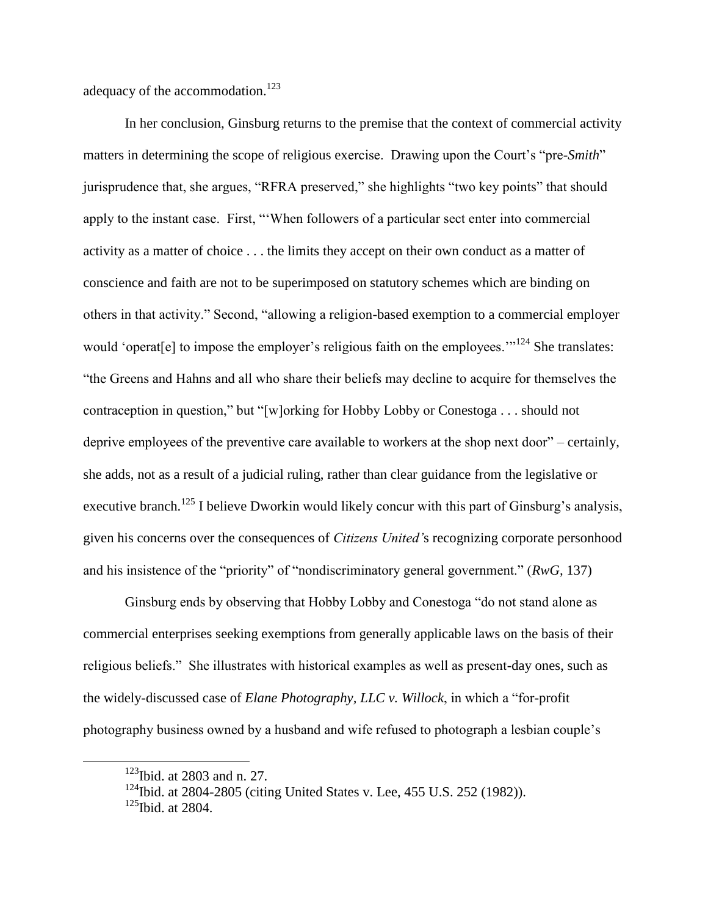adequacy of the accommodation.<sup>123</sup>

In her conclusion, Ginsburg returns to the premise that the context of commercial activity matters in determining the scope of religious exercise. Drawing upon the Court's "pre-*Smith*" jurisprudence that, she argues, "RFRA preserved," she highlights "two key points" that should apply to the instant case. First, "'When followers of a particular sect enter into commercial activity as a matter of choice . . . the limits they accept on their own conduct as a matter of conscience and faith are not to be superimposed on statutory schemes which are binding on others in that activity." Second, "allowing a religion-based exemption to a commercial employer would 'operat<sup>[e]</sup> to impose the employer's religious faith on the employees."<sup>124</sup> She translates: "the Greens and Hahns and all who share their beliefs may decline to acquire for themselves the contraception in question," but "[w]orking for Hobby Lobby or Conestoga . . . should not deprive employees of the preventive care available to workers at the shop next door" – certainly, she adds, not as a result of a judicial ruling, rather than clear guidance from the legislative or executive branch.<sup>125</sup> I believe Dworkin would likely concur with this part of Ginsburg's analysis, given his concerns over the consequences of *Citizens United'*s recognizing corporate personhood and his insistence of the "priority" of "nondiscriminatory general government." (*RwG,* 137)

Ginsburg ends by observing that Hobby Lobby and Conestoga "do not stand alone as commercial enterprises seeking exemptions from generally applicable laws on the basis of their religious beliefs." She illustrates with historical examples as well as present-day ones, such as the widely-discussed case of *Elane Photography, LLC v. Willock*, in which a "for-profit photography business owned by a husband and wife refused to photograph a lesbian couple's

<sup>&</sup>lt;sup>123</sup>Ibid. at 2803 and n. 27.

 $124$  Ibid. at 2804-2805 (citing United States v. Lee, 455 U.S. 252 (1982)).

 $125$ Ibid. at 2804.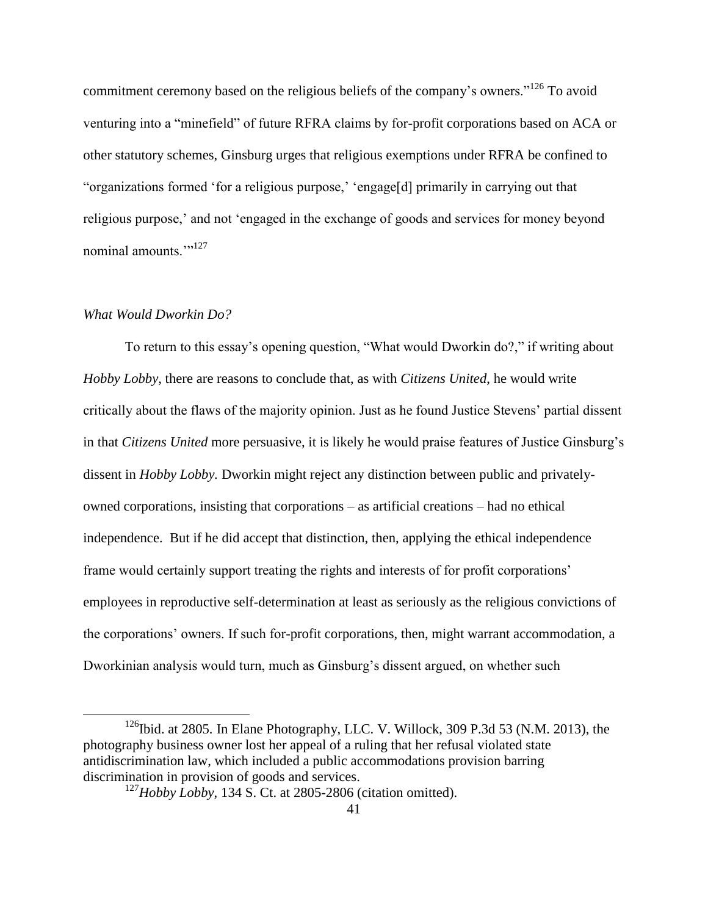commitment ceremony based on the religious beliefs of the company's owners."<sup>126</sup> To avoid venturing into a "minefield" of future RFRA claims by for-profit corporations based on ACA or other statutory schemes, Ginsburg urges that religious exemptions under RFRA be confined to "organizations formed 'for a religious purpose,' 'engage[d] primarily in carrying out that religious purpose,' and not 'engaged in the exchange of goods and services for money beyond nominal amounts<sup>"127</sup>

#### *What Would Dworkin Do?*

 $\overline{a}$ 

To return to this essay's opening question, "What would Dworkin do?," if writing about *Hobby Lobby*, there are reasons to conclude that, as with *Citizens United*, he would write critically about the flaws of the majority opinion. Just as he found Justice Stevens' partial dissent in that *Citizens United* more persuasive, it is likely he would praise features of Justice Ginsburg's dissent in *Hobby Lobby.* Dworkin might reject any distinction between public and privatelyowned corporations, insisting that corporations – as artificial creations – had no ethical independence. But if he did accept that distinction, then, applying the ethical independence frame would certainly support treating the rights and interests of for profit corporations' employees in reproductive self-determination at least as seriously as the religious convictions of the corporations' owners. If such for-profit corporations, then, might warrant accommodation, a Dworkinian analysis would turn, much as Ginsburg's dissent argued, on whether such

<sup>&</sup>lt;sup>126</sup>Ibid. at 2805. In Elane Photography, LLC. V. Willock, 309 P.3d 53 (N.M. 2013), the photography business owner lost her appeal of a ruling that her refusal violated state antidiscrimination law, which included a public accommodations provision barring discrimination in provision of goods and services.

<sup>127</sup>*Hobby Lobby*, 134 S. Ct. at 2805-2806 (citation omitted).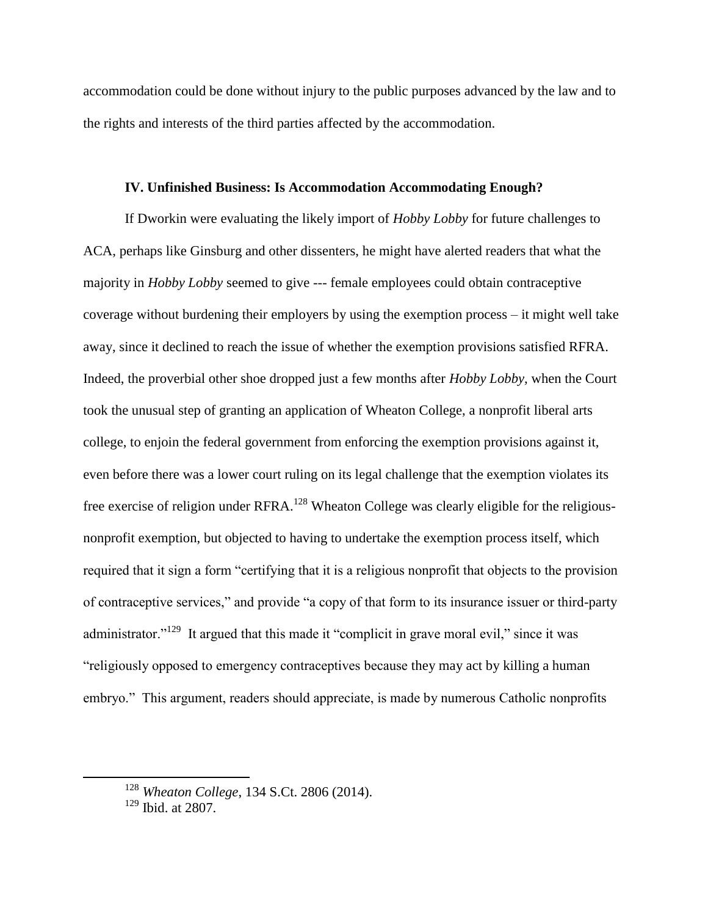accommodation could be done without injury to the public purposes advanced by the law and to the rights and interests of the third parties affected by the accommodation.

#### **IV. Unfinished Business: Is Accommodation Accommodating Enough?**

If Dworkin were evaluating the likely import of *Hobby Lobby* for future challenges to ACA, perhaps like Ginsburg and other dissenters, he might have alerted readers that what the majority in *Hobby Lobby* seemed to give --- female employees could obtain contraceptive coverage without burdening their employers by using the exemption process – it might well take away, since it declined to reach the issue of whether the exemption provisions satisfied RFRA. Indeed, the proverbial other shoe dropped just a few months after *Hobby Lobby,* when the Court took the unusual step of granting an application of Wheaton College, a nonprofit liberal arts college, to enjoin the federal government from enforcing the exemption provisions against it, even before there was a lower court ruling on its legal challenge that the exemption violates its free exercise of religion under RFRA.<sup>128</sup> Wheaton College was clearly eligible for the religiousnonprofit exemption, but objected to having to undertake the exemption process itself, which required that it sign a form "certifying that it is a religious nonprofit that objects to the provision of contraceptive services," and provide "a copy of that form to its insurance issuer or third-party administrator."<sup>129</sup> It argued that this made it "complicit in grave moral evil," since it was "religiously opposed to emergency contraceptives because they may act by killing a human embryo." This argument, readers should appreciate, is made by numerous Catholic nonprofits

<sup>128</sup> *Wheaton College*, 134 S.Ct. 2806 (2014).

 $129$  Ibid. at 2807.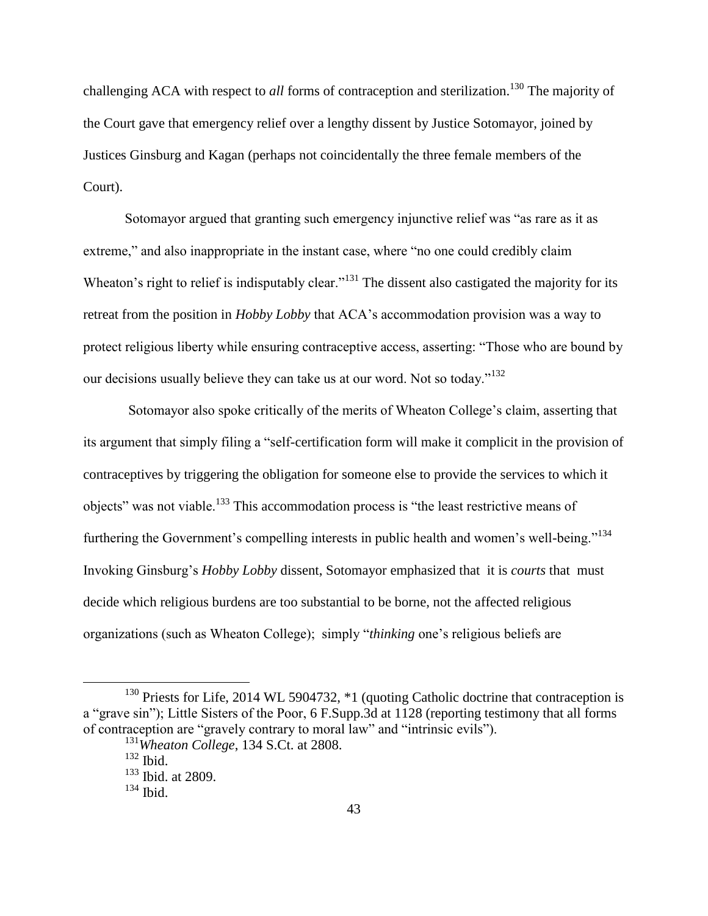challenging ACA with respect to *all* forms of contraception and sterilization.<sup>130</sup> The majority of the Court gave that emergency relief over a lengthy dissent by Justice Sotomayor, joined by Justices Ginsburg and Kagan (perhaps not coincidentally the three female members of the Court).

Sotomayor argued that granting such emergency injunctive relief was "as rare as it as extreme," and also inappropriate in the instant case, where "no one could credibly claim Wheaton's right to relief is indisputably clear."<sup>131</sup> The dissent also castigated the majority for its retreat from the position in *Hobby Lobby* that ACA's accommodation provision was a way to protect religious liberty while ensuring contraceptive access, asserting: "Those who are bound by our decisions usually believe they can take us at our word. Not so today."<sup>132</sup>

Sotomayor also spoke critically of the merits of Wheaton College's claim, asserting that its argument that simply filing a "self-certification form will make it complicit in the provision of contraceptives by triggering the obligation for someone else to provide the services to which it objects" was not viable.<sup>133</sup> This accommodation process is "the least restrictive means of furthering the Government's compelling interests in public health and women's well-being."<sup>134</sup> Invoking Ginsburg's *Hobby Lobby* dissent, Sotomayor emphasized that it is *courts* that must decide which religious burdens are too substantial to be borne, not the affected religious organizations (such as Wheaton College); simply "*thinking* one's religious beliefs are

<sup>&</sup>lt;sup>130</sup> Priests for Life, 2014 WL 5904732, \*1 (quoting Catholic doctrine that contraception is a "grave sin"); Little Sisters of the Poor, 6 F.Supp.3d at 1128 (reporting testimony that all forms of contraception are "gravely contrary to moral law" and "intrinsic evils").

<sup>131</sup>*Wheaton College*, 134 S.Ct. at 2808.

 $132$  Ibid.

<sup>133</sup> Ibid. at 2809.

 $134$  Ibid.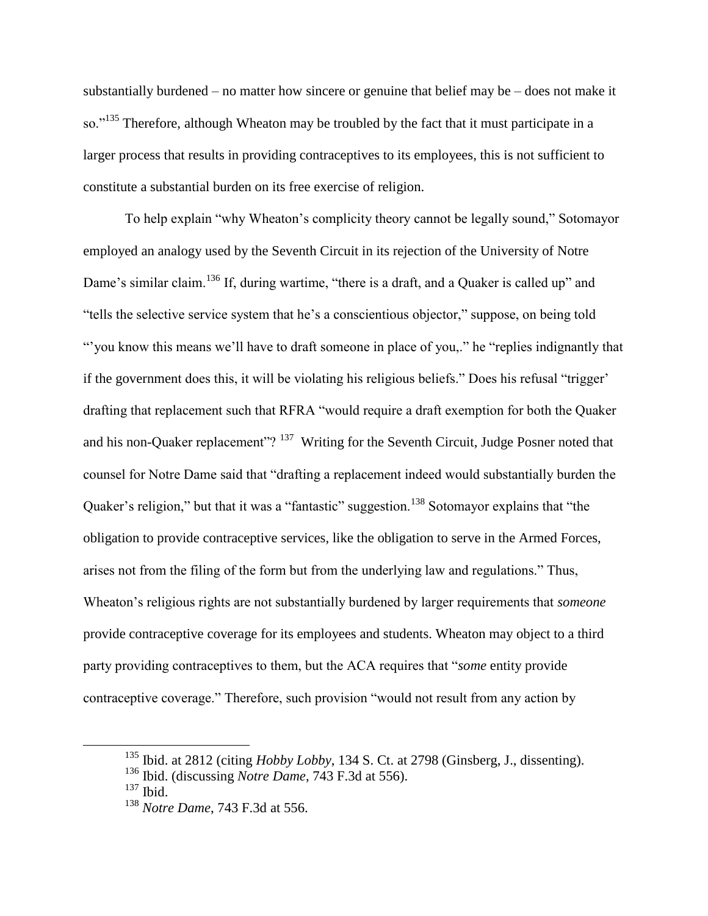substantially burdened – no matter how sincere or genuine that belief may be – does not make it so."<sup>135</sup> Therefore, although Wheaton may be troubled by the fact that it must participate in a larger process that results in providing contraceptives to its employees, this is not sufficient to constitute a substantial burden on its free exercise of religion.

To help explain "why Wheaton's complicity theory cannot be legally sound," Sotomayor employed an analogy used by the Seventh Circuit in its rejection of the University of Notre Dame's similar claim.<sup>136</sup> If, during wartime, "there is a draft, and a Quaker is called up" and "tells the selective service system that he's a conscientious objector," suppose, on being told "'you know this means we'll have to draft someone in place of you,." he "replies indignantly that if the government does this, it will be violating his religious beliefs." Does his refusal "trigger' drafting that replacement such that RFRA "would require a draft exemption for both the Quaker and his non-Quaker replacement"?  $137$  Writing for the Seventh Circuit, Judge Posner noted that counsel for Notre Dame said that "drafting a replacement indeed would substantially burden the Quaker's religion," but that it was a "fantastic" suggestion.<sup>138</sup> Sotomayor explains that "the obligation to provide contraceptive services, like the obligation to serve in the Armed Forces, arises not from the filing of the form but from the underlying law and regulations." Thus, Wheaton's religious rights are not substantially burdened by larger requirements that *someone*  provide contraceptive coverage for its employees and students. Wheaton may object to a third party providing contraceptives to them, but the ACA requires that "*some* entity provide contraceptive coverage." Therefore, such provision "would not result from any action by

<sup>135</sup> Ibid. at 2812 (citing *Hobby Lobby*, 134 S. Ct. at 2798 (Ginsberg, J., dissenting).

<sup>136</sup> Ibid. (discussing *Notre Dame*, 743 F.3d at 556).

 $137$  Ibid.

<sup>138</sup> *Notre Dame*, 743 F.3d at 556.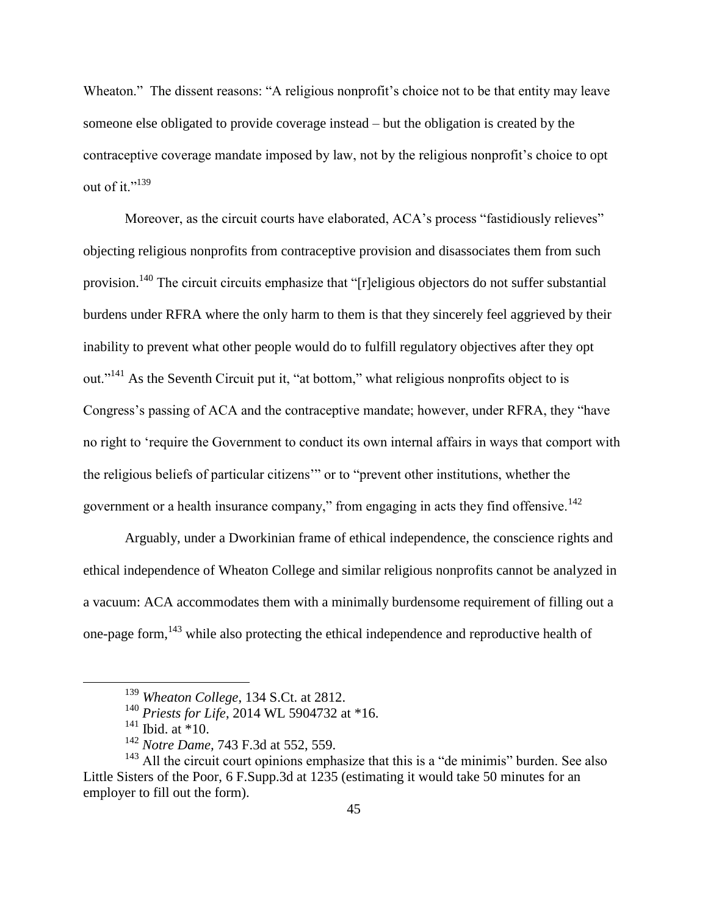Wheaton." The dissent reasons: "A religious nonprofit's choice not to be that entity may leave someone else obligated to provide coverage instead – but the obligation is created by the contraceptive coverage mandate imposed by law, not by the religious nonprofit's choice to opt out of it."<sup>139</sup>

Moreover, as the circuit courts have elaborated, ACA's process "fastidiously relieves" objecting religious nonprofits from contraceptive provision and disassociates them from such provision.<sup>140</sup> The circuit circuits emphasize that "[r]eligious objectors do not suffer substantial burdens under RFRA where the only harm to them is that they sincerely feel aggrieved by their inability to prevent what other people would do to fulfill regulatory objectives after they opt out."<sup>141</sup> As the Seventh Circuit put it, "at bottom," what religious nonprofits object to is Congress's passing of ACA and the contraceptive mandate; however, under RFRA, they "have no right to 'require the Government to conduct its own internal affairs in ways that comport with the religious beliefs of particular citizens'" or to "prevent other institutions, whether the government or a health insurance company," from engaging in acts they find offensive.<sup>142</sup>

Arguably, under a Dworkinian frame of ethical independence, the conscience rights and ethical independence of Wheaton College and similar religious nonprofits cannot be analyzed in a vacuum: ACA accommodates them with a minimally burdensome requirement of filling out a one-page form,<sup>143</sup> while also protecting the ethical independence and reproductive health of

<sup>139</sup> *Wheaton College*, 134 S.Ct. at 2812.

<sup>140</sup> *Priests for Life*, 2014 WL 5904732 at \*16.

 $141$  Ibid. at  $*10$ .

<sup>142</sup> *Notre Dame,* 743 F.3d at 552, 559.

<sup>&</sup>lt;sup>143</sup> All the circuit court opinions emphasize that this is a "de minimis" burden. See also Little Sisters of the Poor, 6 F.Supp.3d at 1235 (estimating it would take 50 minutes for an employer to fill out the form).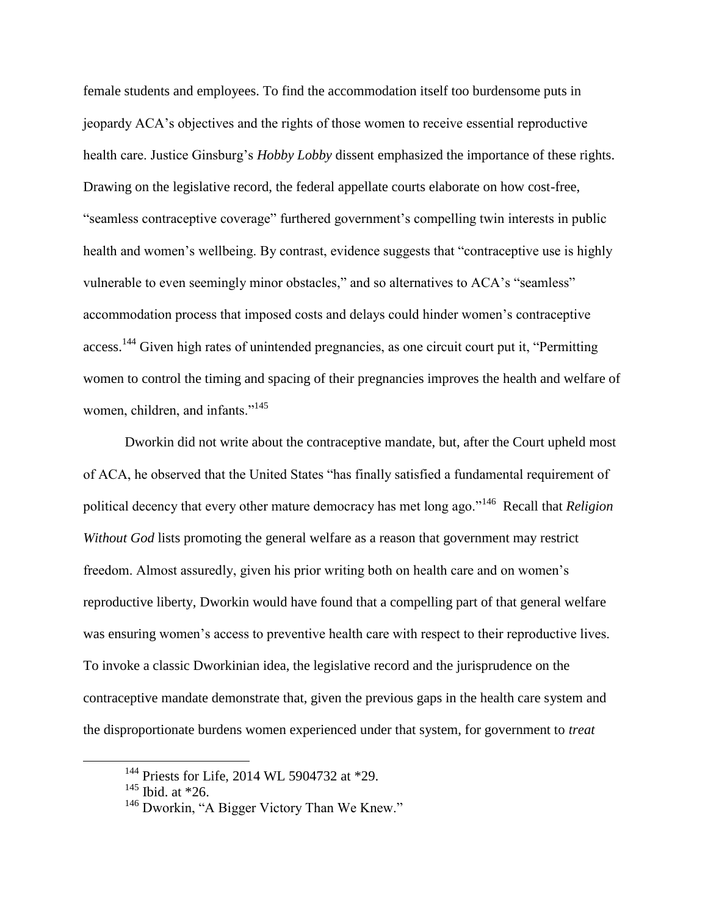female students and employees. To find the accommodation itself too burdensome puts in jeopardy ACA's objectives and the rights of those women to receive essential reproductive health care. Justice Ginsburg's *Hobby Lobby* dissent emphasized the importance of these rights. Drawing on the legislative record, the federal appellate courts elaborate on how cost-free, "seamless contraceptive coverage" furthered government's compelling twin interests in public health and women's wellbeing. By contrast, evidence suggests that "contraceptive use is highly vulnerable to even seemingly minor obstacles," and so alternatives to ACA's "seamless" accommodation process that imposed costs and delays could hinder women's contraceptive access.<sup>144</sup> Given high rates of unintended pregnancies, as one circuit court put it, "Permitting women to control the timing and spacing of their pregnancies improves the health and welfare of women, children, and infants."<sup>145</sup>

Dworkin did not write about the contraceptive mandate, but, after the Court upheld most of ACA, he observed that the United States "has finally satisfied a fundamental requirement of political decency that every other mature democracy has met long ago."<sup>146</sup> Recall that *Religion Without God* lists promoting the general welfare as a reason that government may restrict freedom. Almost assuredly, given his prior writing both on health care and on women's reproductive liberty, Dworkin would have found that a compelling part of that general welfare was ensuring women's access to preventive health care with respect to their reproductive lives. To invoke a classic Dworkinian idea, the legislative record and the jurisprudence on the contraceptive mandate demonstrate that, given the previous gaps in the health care system and the disproportionate burdens women experienced under that system, for government to *treat* 

<sup>&</sup>lt;sup>144</sup> Priests for Life, 2014 WL 5904732 at \*29.

 $145$  Ibid. at  $*26$ .

<sup>&</sup>lt;sup>146</sup> Dworkin, "A Bigger Victory Than We Knew."